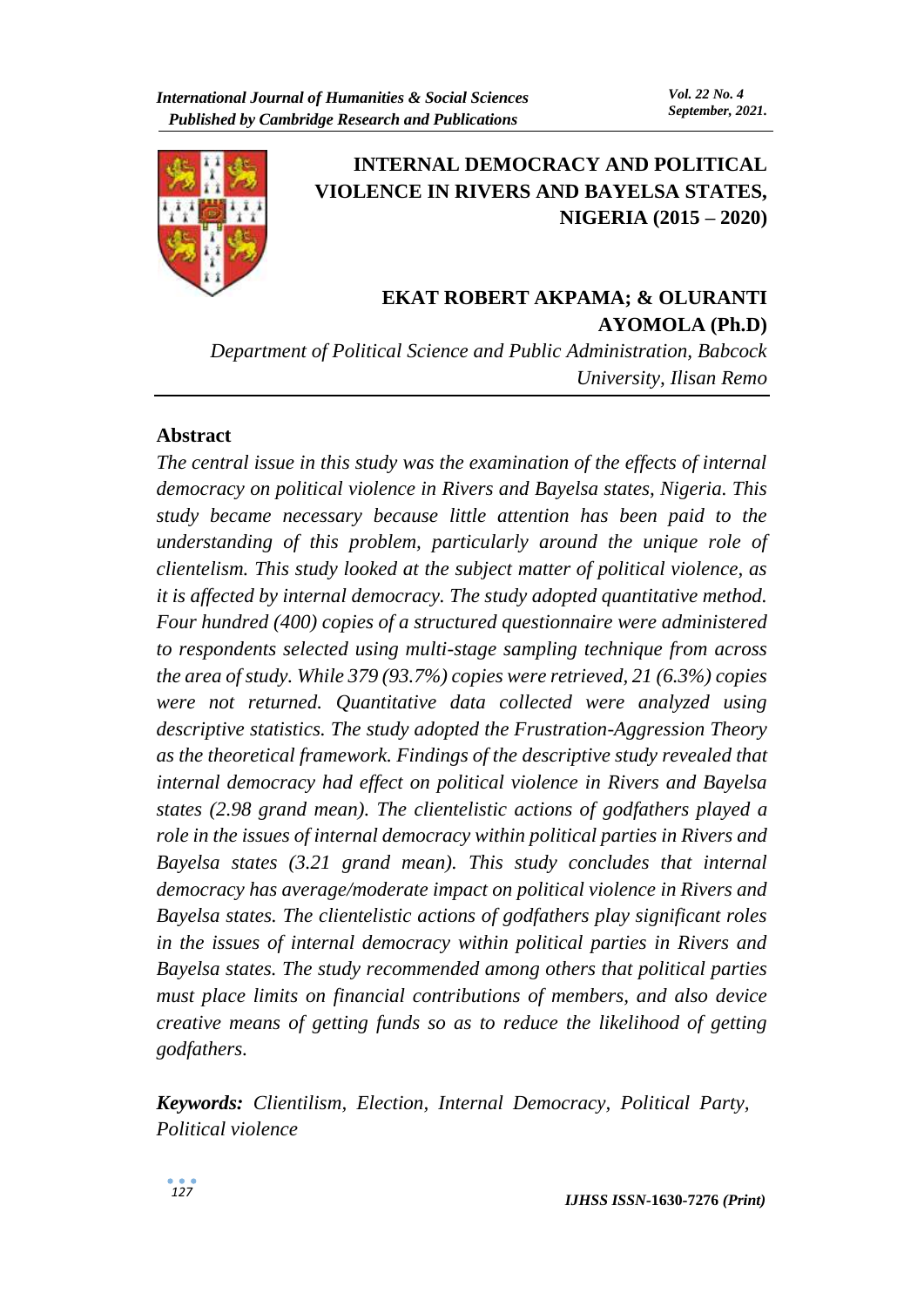

# **INTERNAL DEMOCRACY AND POLITICAL VIOLENCE IN RIVERS AND BAYELSA STATES, NIGERIA (2015 – 2020)**

# **EKAT ROBERT AKPAMA; & OLURANTI AYOMOLA (Ph.D)**

*Department of Political Science and Public Administration, Babcock University, Ilisan Remo*

## **Abstract**

*The central issue in this study was the examination of the effects of internal democracy on political violence in Rivers and Bayelsa states, Nigeria. This study became necessary because little attention has been paid to the understanding of this problem, particularly around the unique role of clientelism. This study looked at the subject matter of political violence, as it is affected by internal democracy. The study adopted quantitative method. Four hundred (400) copies of a structured questionnaire were administered to respondents selected using multi-stage sampling technique from across the area of study. While 379 (93.7%) copies were retrieved, 21 (6.3%) copies were not returned. Quantitative data collected were analyzed using descriptive statistics. The study adopted the Frustration-Aggression Theory as the theoretical framework. Findings of the descriptive study revealed that internal democracy had effect on political violence in Rivers and Bayelsa states (2.98 grand mean). The clientelistic actions of godfathers played a role in the issues of internal democracy within political parties in Rivers and Bayelsa states (3.21 grand mean). This study concludes that internal democracy has average/moderate impact on political violence in Rivers and Bayelsa states. The clientelistic actions of godfathers play significant roles in the issues of internal democracy within political parties in Rivers and Bayelsa states. The study recommended among others that political parties must place limits on financial contributions of members, and also device creative means of getting funds so as to reduce the likelihood of getting godfathers.* 

*Keywords: Clientilism, Election, Internal Democracy, Political Party, Political violence*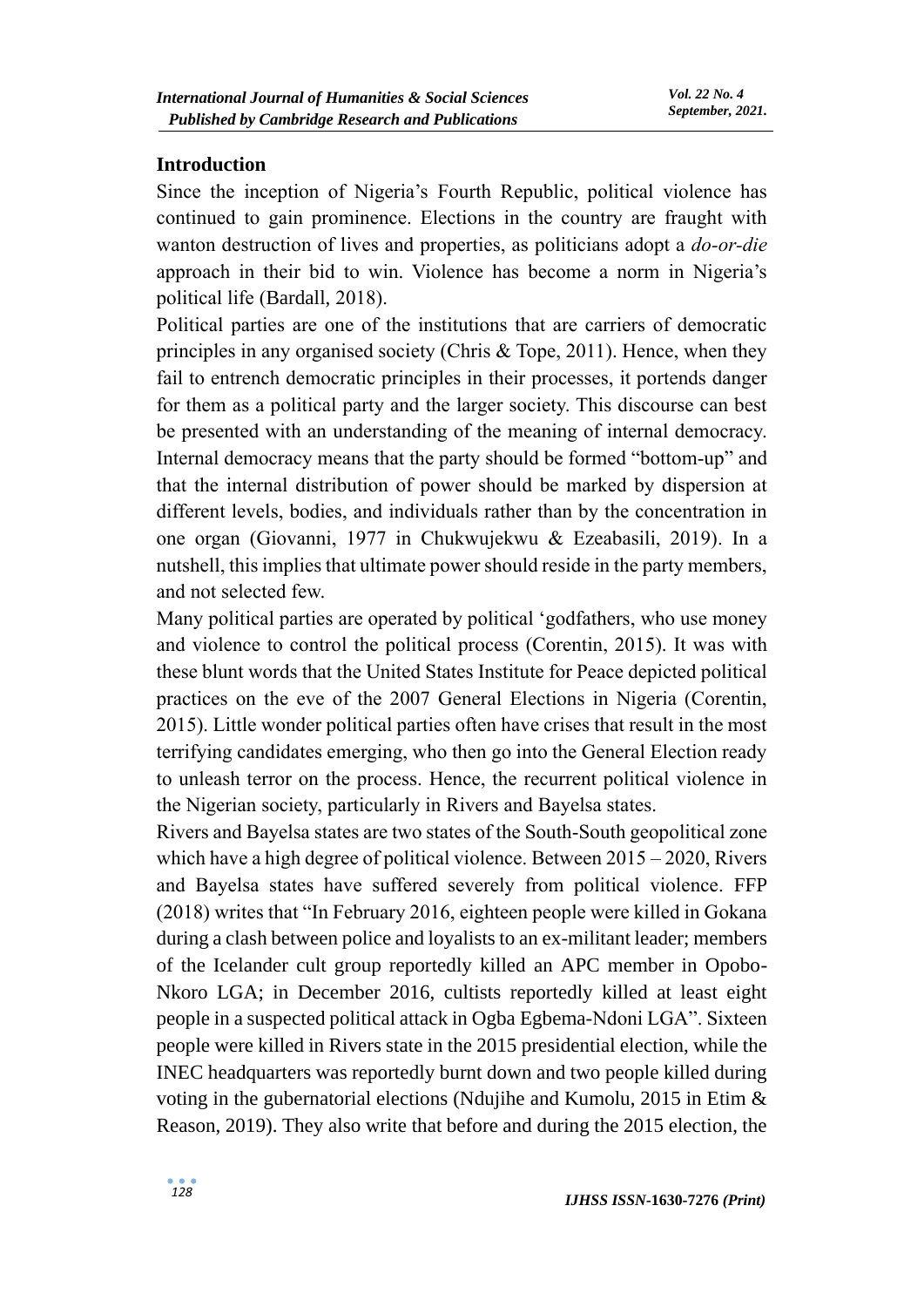#### **Introduction**

Since the inception of Nigeria's Fourth Republic, political violence has continued to gain prominence. Elections in the country are fraught with wanton destruction of lives and properties, as politicians adopt a *do-or-die* approach in their bid to win. Violence has become a norm in Nigeria's political life (Bardall, 2018).

Political parties are one of the institutions that are carriers of democratic principles in any organised society (Chris & Tope, 2011). Hence, when they fail to entrench democratic principles in their processes, it portends danger for them as a political party and the larger society. This discourse can best be presented with an understanding of the meaning of internal democracy. Internal democracy means that the party should be formed "bottom-up" and that the internal distribution of power should be marked by dispersion at different levels, bodies, and individuals rather than by the concentration in one organ (Giovanni, 1977 in Chukwujekwu & Ezeabasili, 2019). In a nutshell, this implies that ultimate power should reside in the party members, and not selected few.

Many political parties are operated by political 'godfathers, who use money and violence to control the political process (Corentin, 2015). It was with these blunt words that the United States Institute for Peace depicted political practices on the eve of the 2007 General Elections in Nigeria (Corentin, 2015). Little wonder political parties often have crises that result in the most terrifying candidates emerging, who then go into the General Election ready to unleash terror on the process. Hence, the recurrent political violence in the Nigerian society, particularly in Rivers and Bayelsa states.

Rivers and Bayelsa states are two states of the South-South geopolitical zone which have a high degree of political violence. Between 2015 – 2020, Rivers and Bayelsa states have suffered severely from political violence. FFP (2018) writes that "In February 2016, eighteen people were killed in Gokana during a clash between police and loyalists to an ex-militant leader; members of the Icelander cult group reportedly killed an APC member in Opobo-Nkoro LGA; in December 2016, cultists reportedly killed at least eight people in a suspected political attack in Ogba Egbema-Ndoni LGA". Sixteen people were killed in Rivers state in the 2015 presidential election, while the INEC headquarters was reportedly burnt down and two people killed during voting in the gubernatorial elections (Ndujihe and Kumolu, 2015 in Etim & Reason, 2019). They also write that before and during the 2015 election, the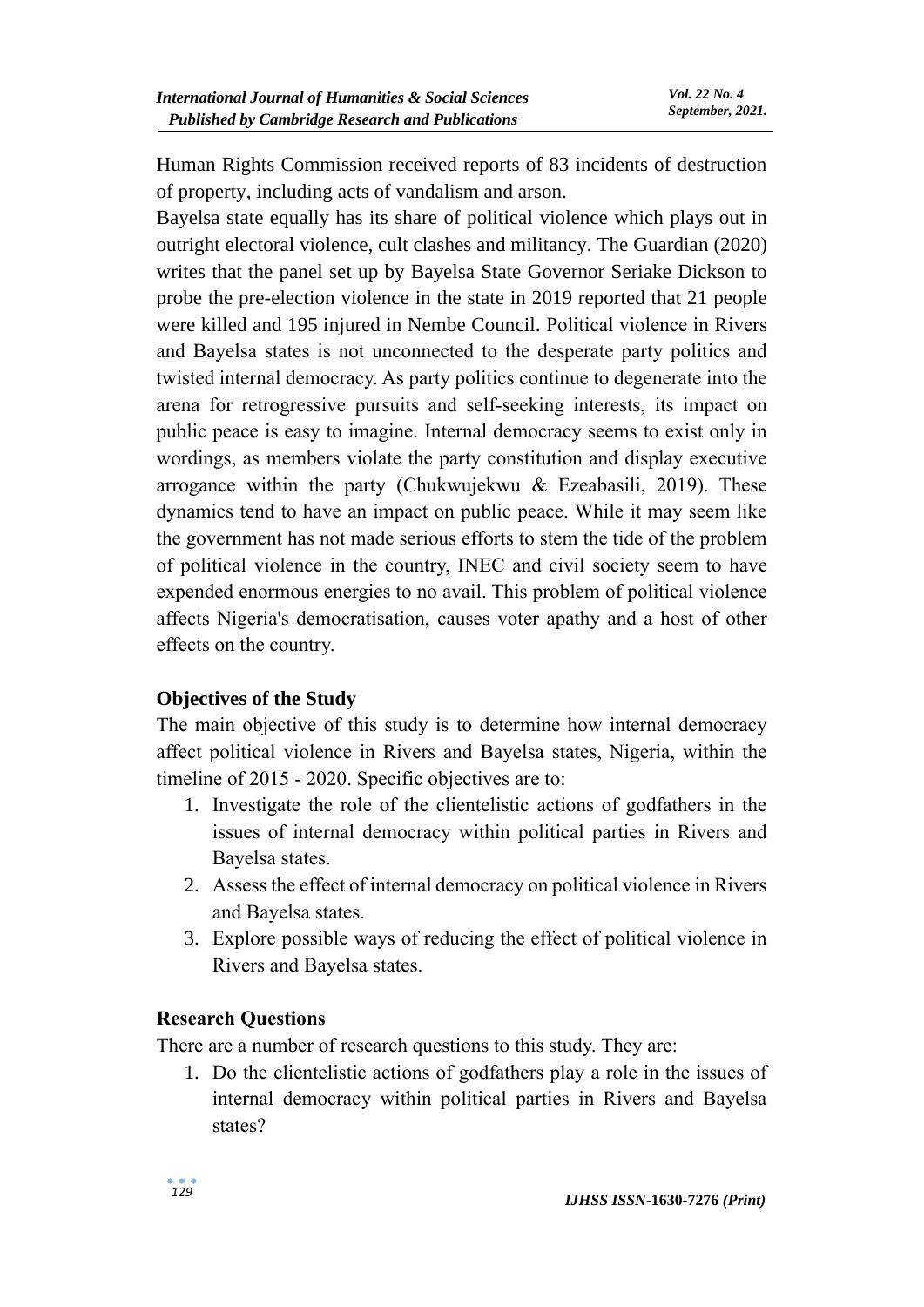Human Rights Commission received reports of 83 incidents of destruction of property, including acts of vandalism and arson.

Bayelsa state equally has its share of political violence which plays out in outright electoral violence, cult clashes and militancy. The Guardian (2020) writes that the panel set up by Bayelsa State Governor Seriake Dickson to probe the pre-election violence in the state in 2019 reported that 21 people were killed and 195 injured in Nembe Council. Political violence in Rivers and Bayelsa states is not unconnected to the desperate party politics and twisted internal democracy. As party politics continue to degenerate into the arena for retrogressive pursuits and self-seeking interests, its impact on public peace is easy to imagine. Internal democracy seems to exist only in wordings, as members violate the party constitution and display executive arrogance within the party (Chukwujekwu & Ezeabasili, 2019). These dynamics tend to have an impact on public peace. While it may seem like the government has not made serious efforts to stem the tide of the problem of political violence in the country, INEC and civil society seem to have expended enormous energies to no avail. This problem of political violence affects Nigeria's democratisation, causes voter apathy and a host of other effects on the country.

# **Objectives of the Study**

The main objective of this study is to determine how internal democracy affect political violence in Rivers and Bayelsa states, Nigeria, within the timeline of 2015 - 2020. Specific objectives are to:

- 1. Investigate the role of the clientelistic actions of godfathers in the issues of internal democracy within political parties in Rivers and Bayelsa states.
- 2. Assess the effect of internal democracy on political violence in Rivers and Bayelsa states.
- 3. Explore possible ways of reducing the effect of political violence in Rivers and Bayelsa states.

#### **Research Questions**

There are a number of research questions to this study. They are:

1. Do the clientelistic actions of godfathers play a role in the issues of internal democracy within political parties in Rivers and Bayelsa states?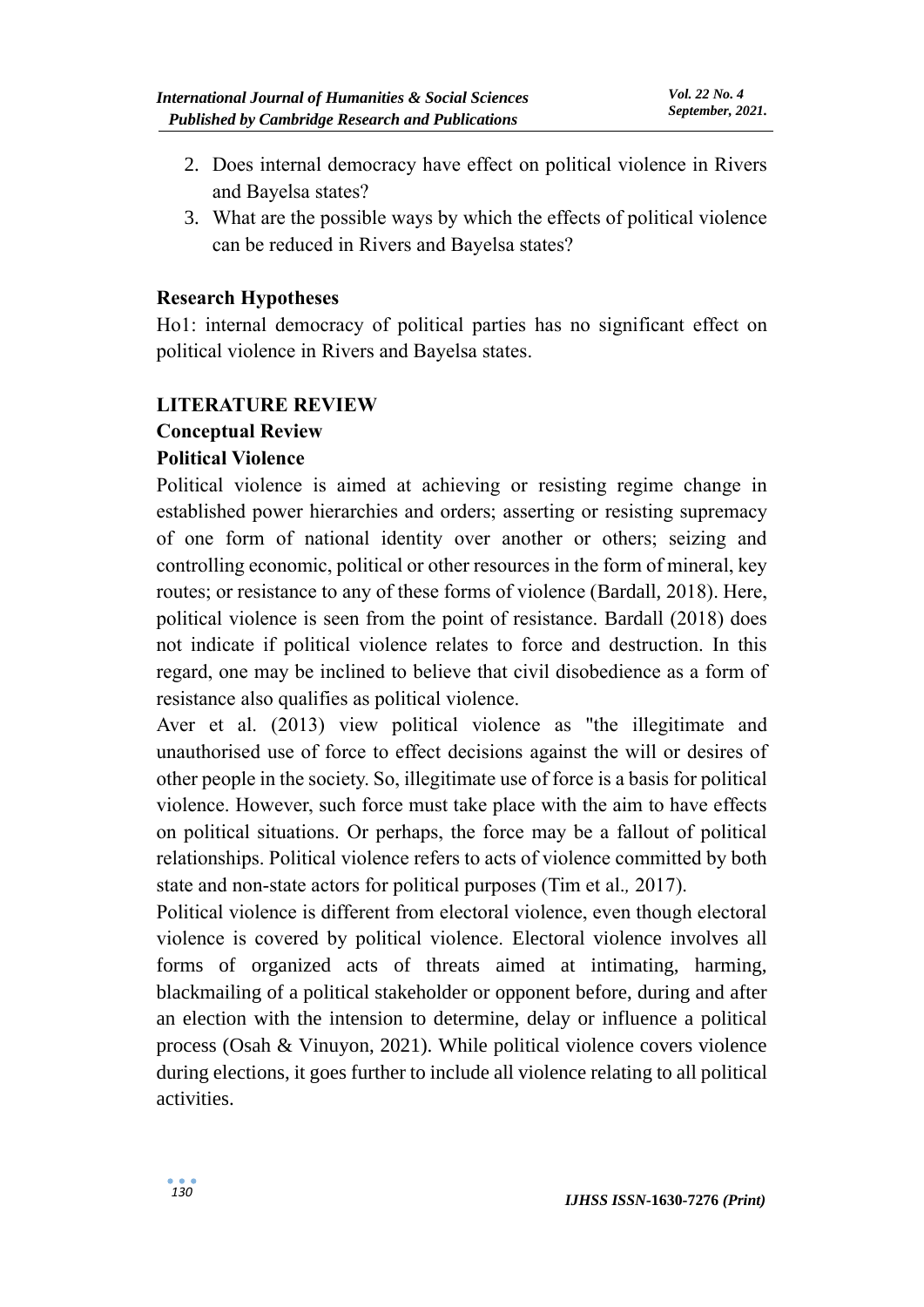- 2. Does internal democracy have effect on political violence in Rivers and Bayelsa states?
- 3. What are the possible ways by which the effects of political violence can be reduced in Rivers and Bayelsa states?

#### **Research Hypotheses**

Ho1: internal democracy of political parties has no significant effect on political violence in Rivers and Bayelsa states.

## **LITERATURE REVIEW**

## **Conceptual Review**

# **Political Violence**

Political violence is aimed at achieving or resisting regime change in established power hierarchies and orders; asserting or resisting supremacy of one form of national identity over another or others; seizing and controlling economic, political or other resources in the form of mineral, key routes; or resistance to any of these forms of violence (Bardall, 2018). Here, political violence is seen from the point of resistance. Bardall (2018) does not indicate if political violence relates to force and destruction. In this regard, one may be inclined to believe that civil disobedience as a form of resistance also qualifies as political violence.

Aver et al. (2013) view political violence as "the illegitimate and unauthorised use of force to effect decisions against the will or desires of other people in the society. So, illegitimate use of force is a basis for political violence. However, such force must take place with the aim to have effects on political situations. Or perhaps, the force may be a fallout of political relationships. Political violence refers to acts of violence committed by both state and non-state actors for political purposes (Tim et al.*,* 2017).

Political violence is different from electoral violence, even though electoral violence is covered by political violence. Electoral violence involves all forms of organized acts of threats aimed at intimating, harming, blackmailing of a political stakeholder or opponent before, during and after an election with the intension to determine, delay or influence a political process (Osah & Vinuyon, 2021). While political violence covers violence during elections, it goes further to include all violence relating to all political activities.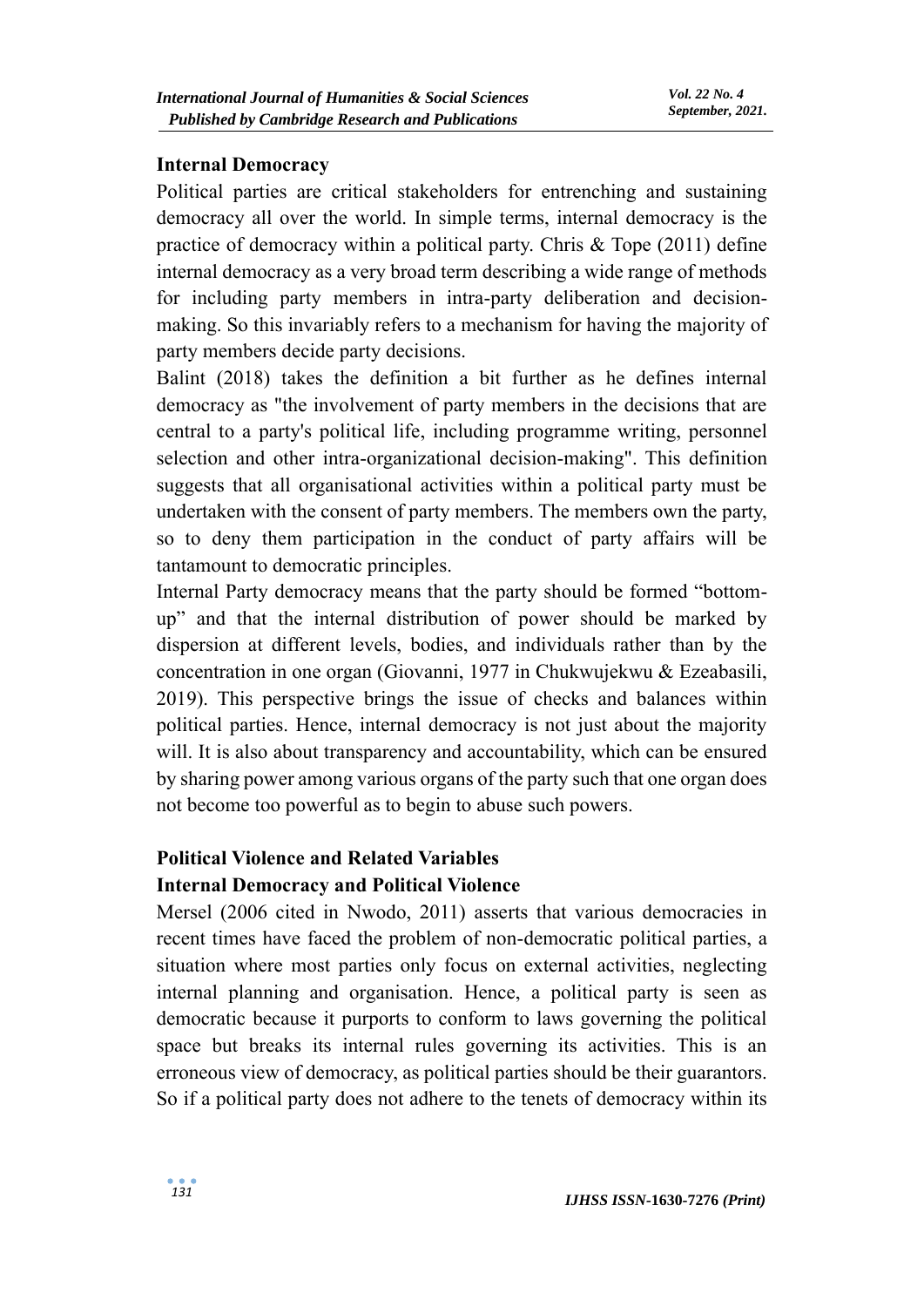#### **Internal Democracy**

Political parties are critical stakeholders for entrenching and sustaining democracy all over the world. In simple terms, internal democracy is the practice of democracy within a political party. Chris & Tope (2011) define internal democracy as a very broad term describing a wide range of methods for including party members in intra-party deliberation and decisionmaking. So this invariably refers to a mechanism for having the majority of party members decide party decisions.

Balint (2018) takes the definition a bit further as he defines internal democracy as "the involvement of party members in the decisions that are central to a party's political life, including programme writing, personnel selection and other intra-organizational decision-making". This definition suggests that all organisational activities within a political party must be undertaken with the consent of party members. The members own the party, so to deny them participation in the conduct of party affairs will be tantamount to democratic principles.

Internal Party democracy means that the party should be formed "bottomup" and that the internal distribution of power should be marked by dispersion at different levels, bodies, and individuals rather than by the concentration in one organ (Giovanni, 1977 in Chukwujekwu & Ezeabasili, 2019). This perspective brings the issue of checks and balances within political parties. Hence, internal democracy is not just about the majority will. It is also about transparency and accountability, which can be ensured by sharing power among various organs of the party such that one organ does not become too powerful as to begin to abuse such powers.

## **Political Violence and Related Variables Internal Democracy and Political Violence**

Mersel (2006 cited in Nwodo, 2011) asserts that various democracies in recent times have faced the problem of non-democratic political parties, a situation where most parties only focus on external activities, neglecting internal planning and organisation. Hence, a political party is seen as democratic because it purports to conform to laws governing the political space but breaks its internal rules governing its activities. This is an erroneous view of democracy, as political parties should be their guarantors. So if a political party does not adhere to the tenets of democracy within its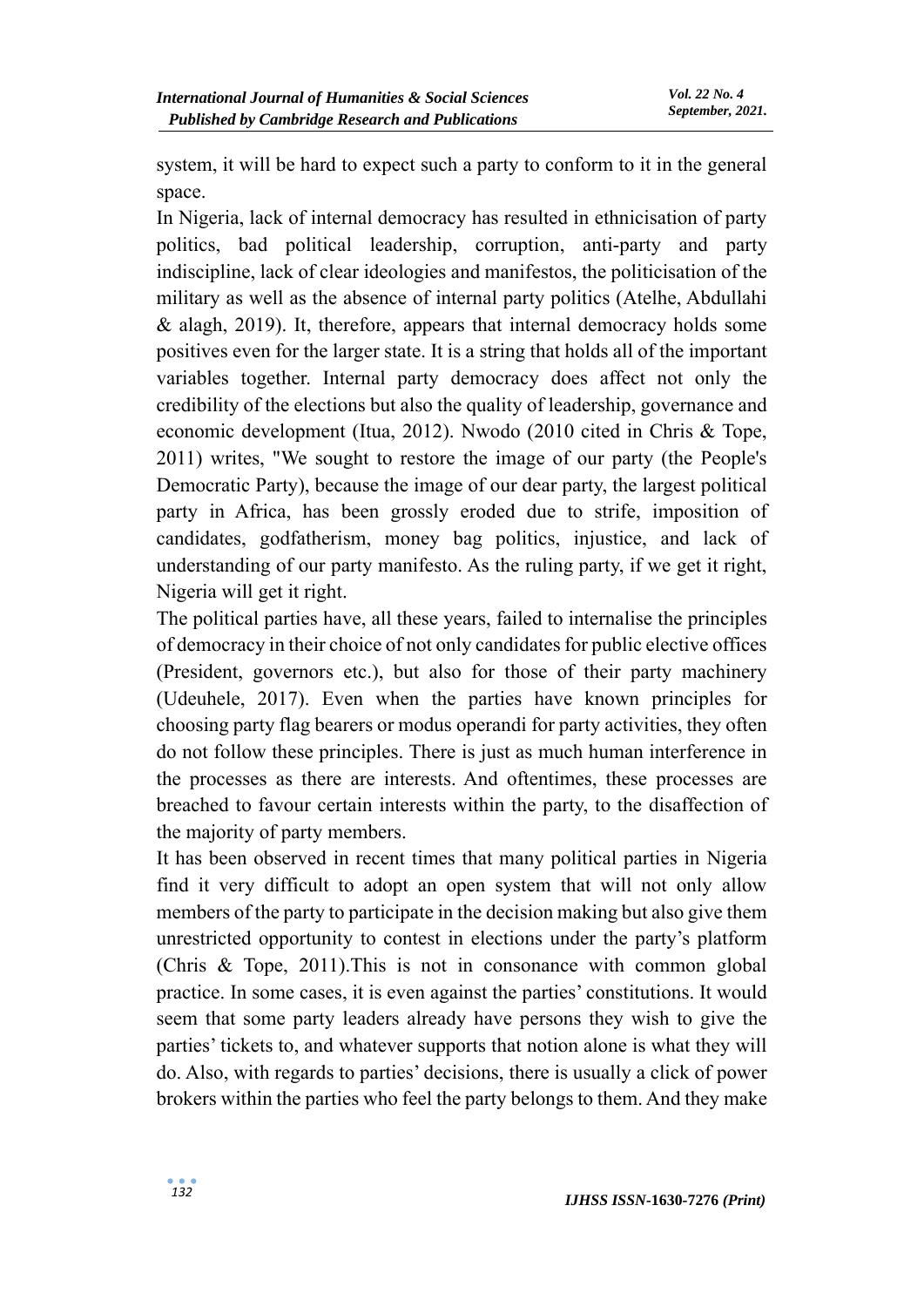system, it will be hard to expect such a party to conform to it in the general space.

In Nigeria, lack of internal democracy has resulted in ethnicisation of party politics, bad political leadership, corruption, anti-party and party indiscipline, lack of clear ideologies and manifestos, the politicisation of the military as well as the absence of internal party politics (Atelhe, Abdullahi & alagh, 2019). It, therefore, appears that internal democracy holds some positives even for the larger state. It is a string that holds all of the important variables together. Internal party democracy does affect not only the credibility of the elections but also the quality of leadership, governance and economic development (Itua, 2012). Nwodo (2010 cited in Chris & Tope, 2011) writes, "We sought to restore the image of our party (the People's Democratic Party), because the image of our dear party, the largest political party in Africa, has been grossly eroded due to strife, imposition of candidates, godfatherism, money bag politics, injustice, and lack of understanding of our party manifesto. As the ruling party, if we get it right, Nigeria will get it right.

The political parties have, all these years, failed to internalise the principles of democracy in their choice of not only candidates for public elective offices (President, governors etc.), but also for those of their party machinery (Udeuhele, 2017). Even when the parties have known principles for choosing party flag bearers or modus operandi for party activities, they often do not follow these principles. There is just as much human interference in the processes as there are interests. And oftentimes, these processes are breached to favour certain interests within the party, to the disaffection of the majority of party members.

It has been observed in recent times that many political parties in Nigeria find it very difficult to adopt an open system that will not only allow members of the party to participate in the decision making but also give them unrestricted opportunity to contest in elections under the party's platform (Chris & Tope, 2011).This is not in consonance with common global practice. In some cases, it is even against the parties' constitutions. It would seem that some party leaders already have persons they wish to give the parties' tickets to, and whatever supports that notion alone is what they will do. Also, with regards to parties' decisions, there is usually a click of power brokers within the parties who feel the party belongs to them. And they make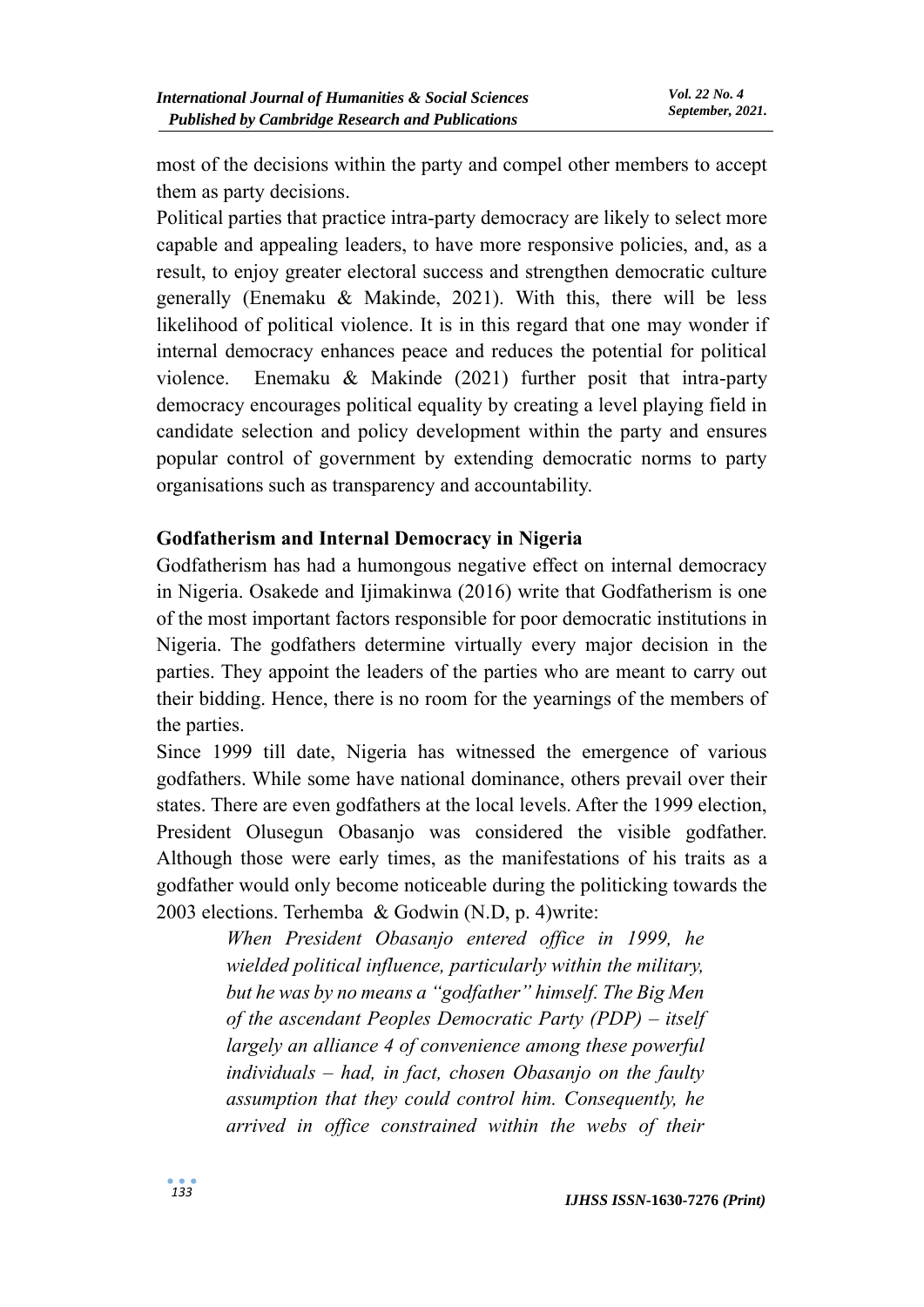most of the decisions within the party and compel other members to accept them as party decisions.

Political parties that practice intra-party democracy are likely to select more capable and appealing leaders, to have more responsive policies, and, as a result, to enjoy greater electoral success and strengthen democratic culture generally (Enemaku & Makinde, 2021). With this, there will be less likelihood of political violence. It is in this regard that one may wonder if internal democracy enhances peace and reduces the potential for political violence. Enemaku & Makinde (2021) further posit that intra-party democracy encourages political equality by creating a level playing field in candidate selection and policy development within the party and ensures popular control of government by extending democratic norms to party organisations such as transparency and accountability.

#### **Godfatherism and Internal Democracy in Nigeria**

Godfatherism has had a humongous negative effect on internal democracy in Nigeria. Osakede and Ijimakinwa (2016) write that Godfatherism is one of the most important factors responsible for poor democratic institutions in Nigeria. The godfathers determine virtually every major decision in the parties. They appoint the leaders of the parties who are meant to carry out their bidding. Hence, there is no room for the yearnings of the members of the parties.

Since 1999 till date, Nigeria has witnessed the emergence of various godfathers. While some have national dominance, others prevail over their states. There are even godfathers at the local levels. After the 1999 election, President Olusegun Obasanjo was considered the visible godfather. Although those were early times, as the manifestations of his traits as a godfather would only become noticeable during the politicking towards the 2003 elections. Terhemba & Godwin (N.D, p. 4)write:

> *When President Obasanjo entered office in 1999, he wielded political influence, particularly within the military, but he was by no means a "godfather" himself. The Big Men of the ascendant Peoples Democratic Party (PDP) – itself largely an alliance 4 of convenience among these powerful individuals – had, in fact, chosen Obasanjo on the faulty assumption that they could control him. Consequently, he arrived in office constrained within the webs of their*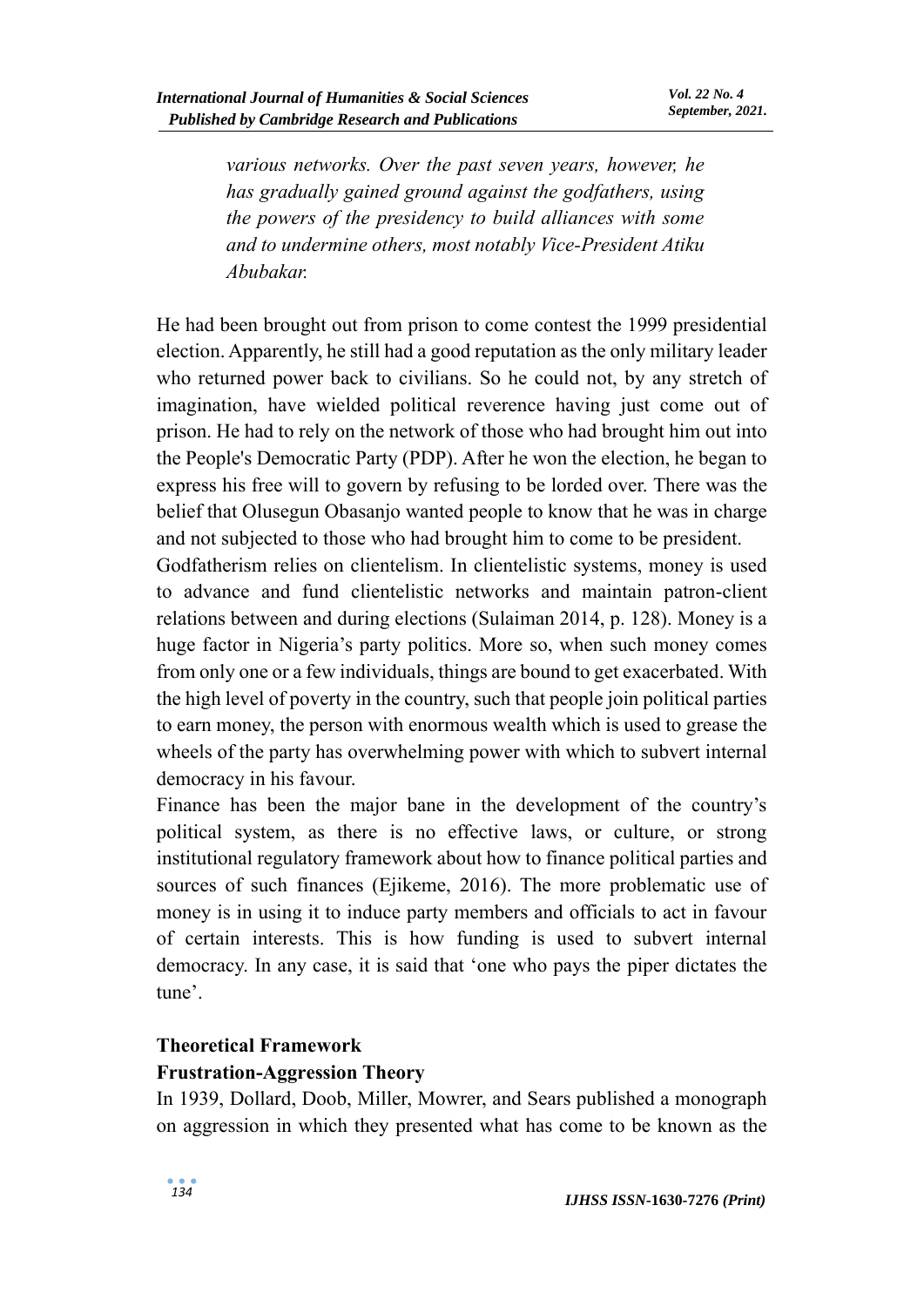*various networks. Over the past seven years, however, he has gradually gained ground against the godfathers, using the powers of the presidency to build alliances with some and to undermine others, most notably Vice-President Atiku Abubakar.*

He had been brought out from prison to come contest the 1999 presidential election. Apparently, he still had a good reputation as the only military leader who returned power back to civilians. So he could not, by any stretch of imagination, have wielded political reverence having just come out of prison. He had to rely on the network of those who had brought him out into the People's Democratic Party (PDP). After he won the election, he began to express his free will to govern by refusing to be lorded over. There was the belief that Olusegun Obasanjo wanted people to know that he was in charge and not subjected to those who had brought him to come to be president.

Godfatherism relies on clientelism. In clientelistic systems, money is used to advance and fund clientelistic networks and maintain patron-client relations between and during elections (Sulaiman 2014, p. 128). Money is a huge factor in Nigeria's party politics. More so, when such money comes from only one or a few individuals, things are bound to get exacerbated. With the high level of poverty in the country, such that people join political parties to earn money, the person with enormous wealth which is used to grease the wheels of the party has overwhelming power with which to subvert internal democracy in his favour.

Finance has been the major bane in the development of the country's political system, as there is no effective laws, or culture, or strong institutional regulatory framework about how to finance political parties and sources of such finances (Ejikeme, 2016). The more problematic use of money is in using it to induce party members and officials to act in favour of certain interests. This is how funding is used to subvert internal democracy. In any case, it is said that 'one who pays the piper dictates the tune'.

#### **Theoretical Framework**

# **Frustration-Aggression Theory**

In 1939, Dollard, Doob, Miller, Mowrer, and Sears published a monograph on aggression in which they presented what has come to be known as the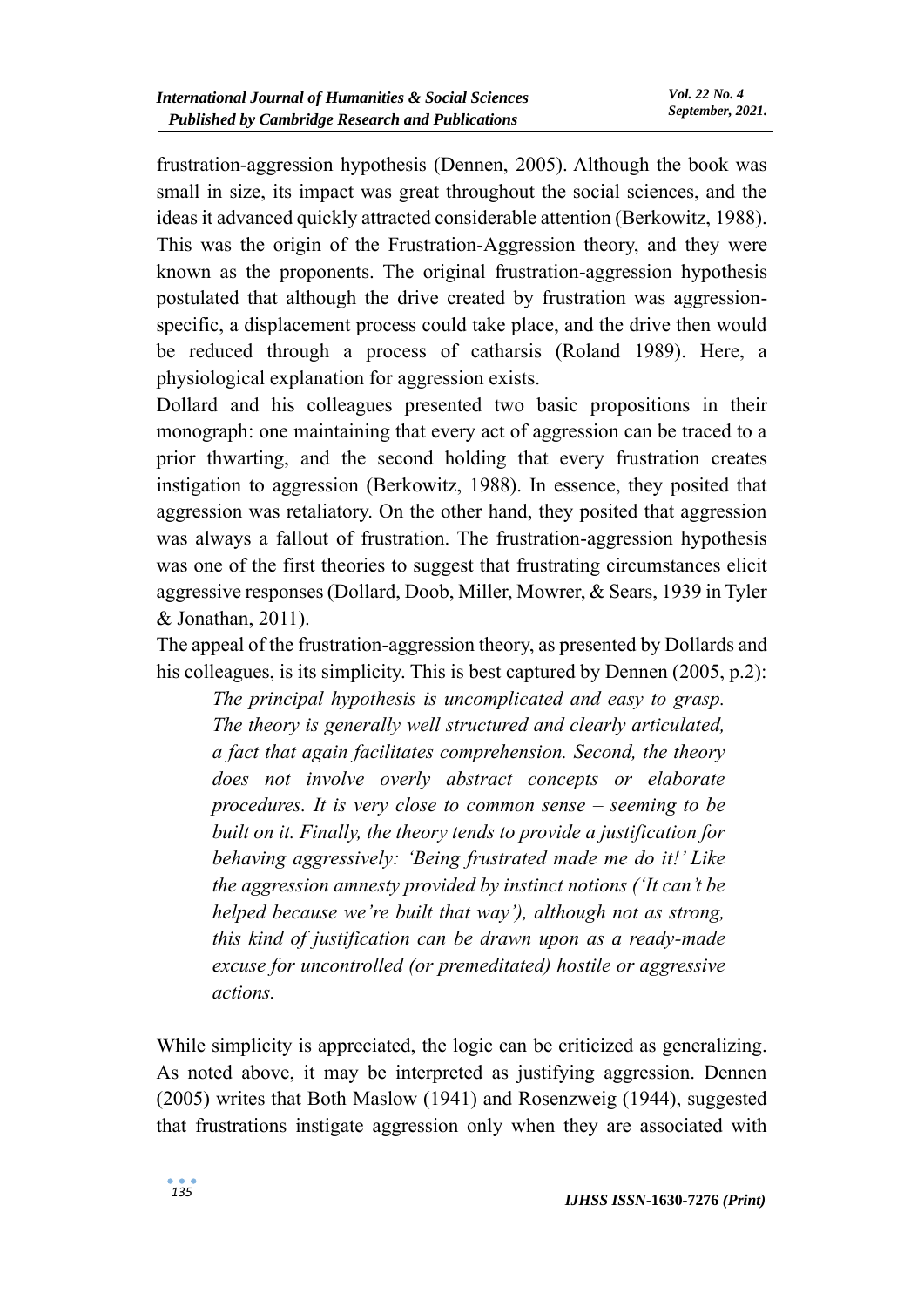frustration-aggression hypothesis (Dennen, 2005). Although the book was small in size, its impact was great throughout the social sciences, and the ideas it advanced quickly attracted considerable attention (Berkowitz, 1988). This was the origin of the Frustration-Aggression theory, and they were known as the proponents. The original frustration-aggression hypothesis postulated that although the drive created by frustration was aggressionspecific, a displacement process could take place, and the drive then would be reduced through a process of catharsis (Roland 1989). Here, a physiological explanation for aggression exists.

Dollard and his colleagues presented two basic propositions in their monograph: one maintaining that every act of aggression can be traced to a prior thwarting, and the second holding that every frustration creates instigation to aggression (Berkowitz, 1988). In essence, they posited that aggression was retaliatory. On the other hand, they posited that aggression was always a fallout of frustration. The frustration-aggression hypothesis was one of the first theories to suggest that frustrating circumstances elicit aggressive responses (Dollard, Doob, Miller, Mowrer, & Sears, 1939 in Tyler & Jonathan, 2011).

The appeal of the frustration-aggression theory, as presented by Dollards and his colleagues, is its simplicity. This is best captured by Dennen (2005, p.2):

*The principal hypothesis is uncomplicated and easy to grasp. The theory is generally well structured and clearly articulated, a fact that again facilitates comprehension. Second, the theory does not involve overly abstract concepts or elaborate procedures. It is very close to common sense – seeming to be built on it. Finally, the theory tends to provide a justification for behaving aggressively: 'Being frustrated made me do it!' Like the aggression amnesty provided by instinct notions ('It can't be helped because we're built that way'), although not as strong, this kind of justification can be drawn upon as a ready-made excuse for uncontrolled (or premeditated) hostile or aggressive actions.*

While simplicity is appreciated, the logic can be criticized as generalizing. As noted above, it may be interpreted as justifying aggression. Dennen (2005) writes that Both Maslow (1941) and Rosenzweig (1944), suggested that frustrations instigate aggression only when they are associated with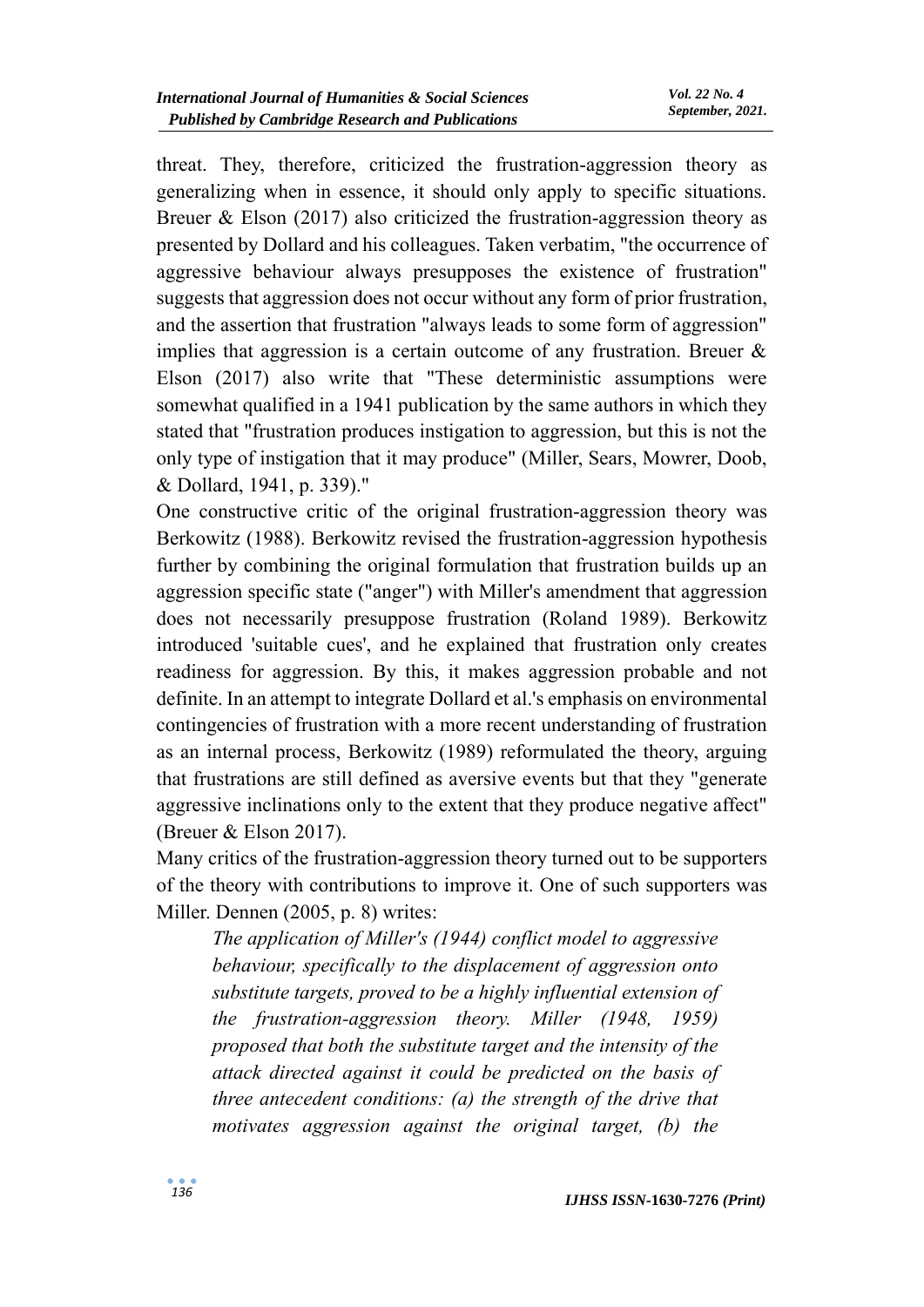threat. They, therefore, criticized the frustration-aggression theory as generalizing when in essence, it should only apply to specific situations. Breuer & Elson (2017) also criticized the frustration-aggression theory as presented by Dollard and his colleagues. Taken verbatim, "the occurrence of aggressive behaviour always presupposes the existence of frustration" suggests that aggression does not occur without any form of prior frustration, and the assertion that frustration "always leads to some form of aggression" implies that aggression is a certain outcome of any frustration. Breuer  $\&$ Elson (2017) also write that "These deterministic assumptions were somewhat qualified in a 1941 publication by the same authors in which they stated that "frustration produces instigation to aggression, but this is not the only type of instigation that it may produce" (Miller, Sears, Mowrer, Doob, & Dollard, 1941, p. 339)."

One constructive critic of the original frustration-aggression theory was Berkowitz (1988). Berkowitz revised the frustration-aggression hypothesis further by combining the original formulation that frustration builds up an aggression specific state ("anger") with Miller's amendment that aggression does not necessarily presuppose frustration (Roland 1989). Berkowitz introduced 'suitable cues', and he explained that frustration only creates readiness for aggression. By this, it makes aggression probable and not definite. In an attempt to integrate Dollard et al.'s emphasis on environmental contingencies of frustration with a more recent understanding of frustration as an internal process, Berkowitz (1989) reformulated the theory, arguing that frustrations are still defined as aversive events but that they "generate aggressive inclinations only to the extent that they produce negative affect" (Breuer & Elson 2017).

Many critics of the frustration-aggression theory turned out to be supporters of the theory with contributions to improve it. One of such supporters was Miller. Dennen (2005, p. 8) writes:

*The application of Miller's (1944) conflict model to aggressive behaviour, specifically to the displacement of aggression onto substitute targets, proved to be a highly influential extension of the frustration-aggression theory. Miller (1948, 1959) proposed that both the substitute target and the intensity of the attack directed against it could be predicted on the basis of three antecedent conditions: (a) the strength of the drive that motivates aggression against the original target, (b) the*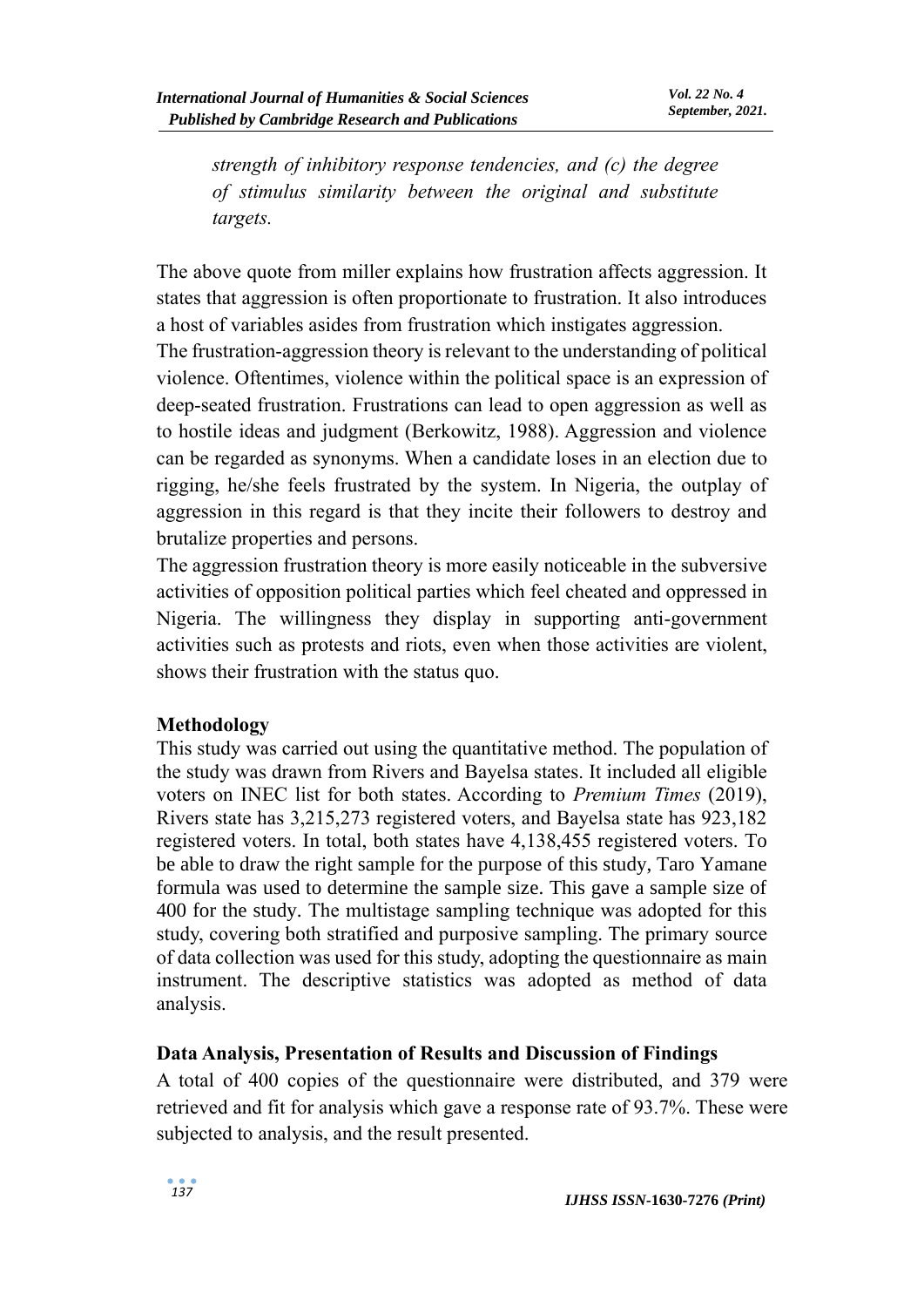*strength of inhibitory response tendencies, and (c) the degree of stimulus similarity between the original and substitute targets.*

The above quote from miller explains how frustration affects aggression. It states that aggression is often proportionate to frustration. It also introduces a host of variables asides from frustration which instigates aggression.

The frustration-aggression theory is relevant to the understanding of political violence. Oftentimes, violence within the political space is an expression of deep-seated frustration. Frustrations can lead to open aggression as well as to hostile ideas and judgment (Berkowitz, 1988). Aggression and violence can be regarded as synonyms. When a candidate loses in an election due to rigging, he/she feels frustrated by the system. In Nigeria, the outplay of aggression in this regard is that they incite their followers to destroy and brutalize properties and persons.

The aggression frustration theory is more easily noticeable in the subversive activities of opposition political parties which feel cheated and oppressed in Nigeria. The willingness they display in supporting anti-government activities such as protests and riots, even when those activities are violent, shows their frustration with the status quo.

#### **Methodology**

This study was carried out using the quantitative method. The population of the study was drawn from Rivers and Bayelsa states. It included all eligible voters on INEC list for both states. According to *Premium Times* (2019), Rivers state has 3,215,273 registered voters, and Bayelsa state has 923,182 registered voters. In total, both states have 4,138,455 registered voters. To be able to draw the right sample for the purpose of this study, Taro Yamane formula was used to determine the sample size. This gave a sample size of 400 for the study. The multistage sampling technique was adopted for this study, covering both stratified and purposive sampling. The primary source of data collection was used for this study, adopting the questionnaire as main instrument. The descriptive statistics was adopted as method of data analysis.

#### **Data Analysis, Presentation of Results and Discussion of Findings**

A total of 400 copies of the questionnaire were distributed, and 379 were retrieved and fit for analysis which gave a response rate of 93.7%. These were subjected to analysis, and the result presented.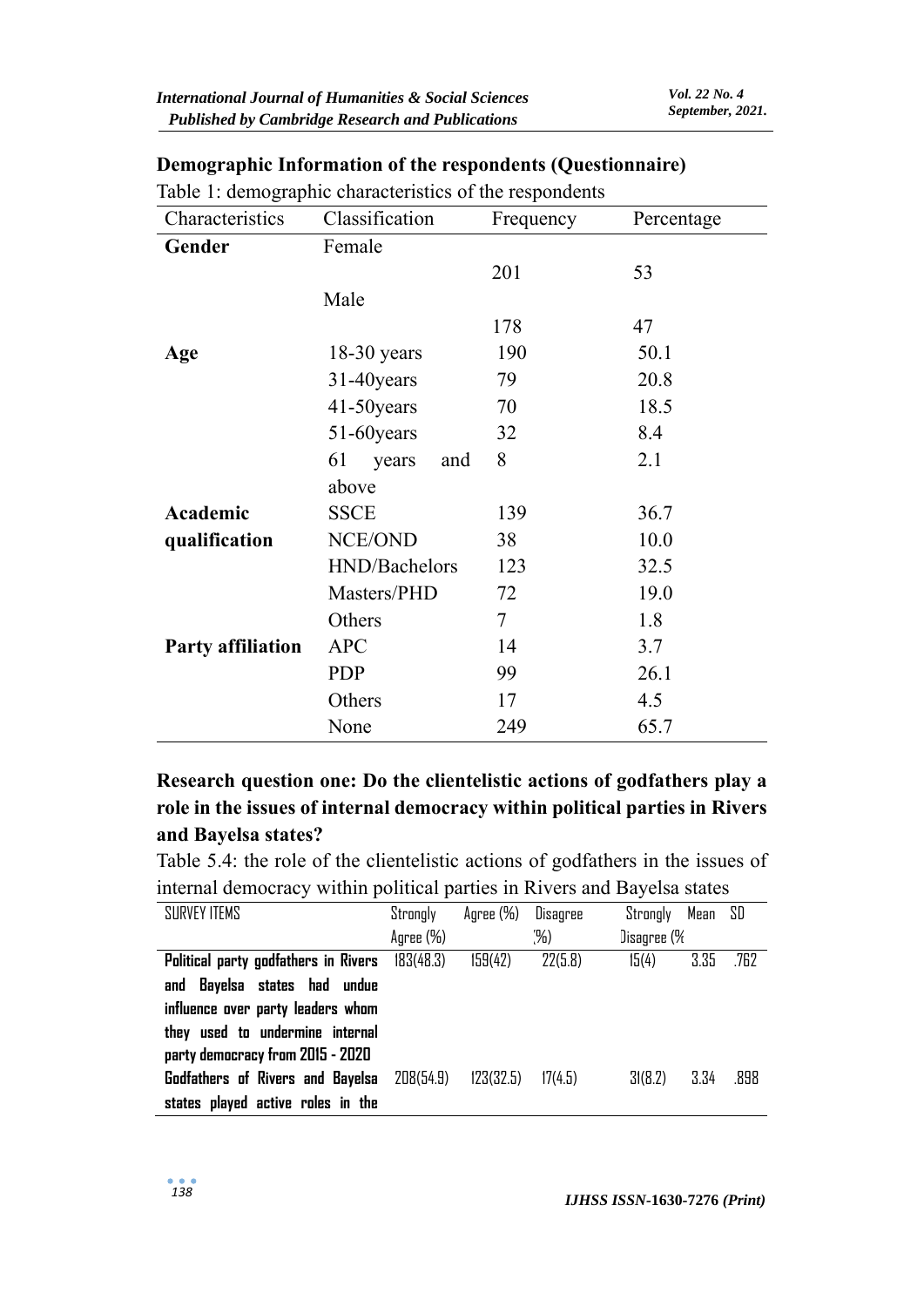| Characteristics          | Classification     | Frequency | Percentage |
|--------------------------|--------------------|-----------|------------|
| Gender                   | Female             |           |            |
|                          |                    | 201       | 53         |
|                          | Male               |           |            |
|                          |                    | 178       | 47         |
| Age                      | $18-30$ years      | 190       | 50.1       |
|                          | 31-40years         | 79        | 20.8       |
|                          | 41-50 years        | 70        | 18.5       |
|                          | 51-60 years        | 32        | 8.4        |
|                          | 61<br>years<br>and | 8         | 2.1        |
|                          | above              |           |            |
| Academic                 | <b>SSCE</b>        | 139       | 36.7       |
| qualification            | NCE/OND            | 38        | 10.0       |
|                          | HND/Bachelors      | 123       | 32.5       |
|                          | Masters/PHD        | 72        | 19.0       |
|                          | Others             | 7         | 1.8        |
| <b>Party affiliation</b> | <b>APC</b>         | 14        | 3.7        |
|                          | <b>PDP</b>         | 99        | 26.1       |
|                          | Others             | 17        | 4.5        |
|                          | None               | 249       | 65.7       |

# **Demographic Information of the respondents (Questionnaire)**

**Research question one: Do the clientelistic actions of godfathers play a role in the issues of internal democracy within political parties in Rivers and Bayelsa states?**

Table 5.4: the role of the clientelistic actions of godfathers in the issues of internal democracy within political parties in Rivers and Bayelsa states

| SURVEY ITEMS                                          | Strongly  | Agree (%) | Disagree | Mean SD<br>Strongly |      |
|-------------------------------------------------------|-----------|-----------|----------|---------------------|------|
|                                                       | Agree (%) |           | (%)      | Disagree (%         |      |
| <b>Political party godfathers in Rivers</b> 183(48.3) |           | 159(42)   | 22(5.8)  | 3.35<br>15(4)       | .762 |
| and Bayelsa states had undue                          |           |           |          |                     |      |
| influence over party leaders whom                     |           |           |          |                     |      |
| they used to undermine internal                       |           |           |          |                     |      |
| party democracy from 2015 - 2020                      |           |           |          |                     |      |
| Godfathers of Rivers and Bayelsa                      | 208(54.9) | 123(32.5) | 17(4.5)  | 3.34<br>3(8.2)      | .898 |
| states played active roles in the                     |           |           |          |                     |      |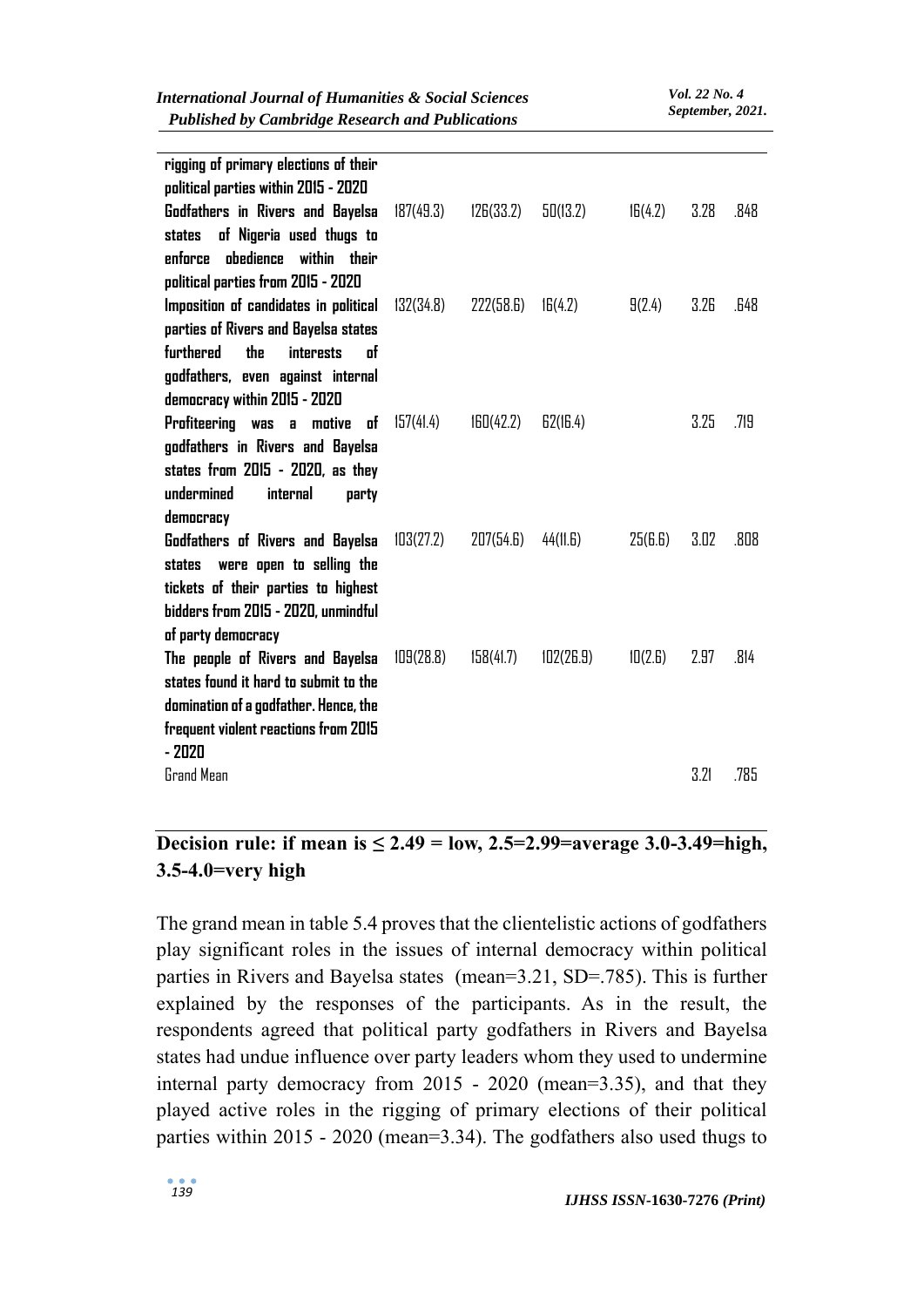| <b>Published by Cambridge Research and Publications</b>                |           |           |           |         | September, 2021. |      |
|------------------------------------------------------------------------|-----------|-----------|-----------|---------|------------------|------|
| rigging of primary elections of their                                  |           |           |           |         |                  |      |
| political parties within 2015 - 2020                                   |           |           |           |         | 3.28             | .848 |
| Godfathers in Rivers and Bayelsa<br>of Nigeria used thugs to<br>states | 187(49.3) | 126(33.2) | 50(13.2)  | 16(4.2) |                  |      |
| obedience within their<br>enforce                                      |           |           |           |         |                  |      |
| political parties from 2015 - 2020                                     |           |           |           |         |                  |      |
| Imposition of candidates in political                                  | 132(34.8) | 222(58.6) | 16(4.2)   | 9(2.4)  | 3.26             | .648 |
| parties of Rivers and Bayelsa states                                   |           |           |           |         |                  |      |
| <b>furthered</b><br>the<br><b>interests</b><br><b>of</b>               |           |           |           |         |                  |      |
| godfathers, even against internal                                      |           |           |           |         |                  |      |
| democracy within 2015 - 2020                                           |           |           |           |         |                  |      |
| Profiteering was a<br>of<br>motive                                     | 157(41.4) | 160(42.2) | E2(I6.4)  |         | 3.25             | .719 |
| godfathers in Rivers and Bayelsa                                       |           |           |           |         |                  |      |
| states from 2015 - 2020, as they                                       |           |           |           |         |                  |      |
| undermined<br>internal<br>party                                        |           |           |           |         |                  |      |
| democracy<br>Godfathers of Rivers and Bayelsa                          | 103(27.2) | 207(54.6) | 44(11.6)  | 25(f.)  | 3.02             | .808 |
| were open to selling the<br>states                                     |           |           |           |         |                  |      |
| tickets of their parties to highest                                    |           |           |           |         |                  |      |
| bidders from 2015 - 2020, unmindful                                    |           |           |           |         |                  |      |
| of party democracy                                                     |           |           |           |         |                  |      |
| The people of Rivers and Bayelsa                                       | 109(28.8) | 158(41.7) | 102(26.9) | 10(2.6) | 2.97             | .814 |
| states found it hard to submit to the                                  |           |           |           |         |                  |      |
| domination of a godfather. Hence, the                                  |           |           |           |         |                  |      |
| frequent violent reactions from 2015                                   |           |           |           |         |                  |      |
| $-2020$                                                                |           |           |           |         |                  |      |
| Grand Mean                                                             |           |           |           |         | 3.21             | .785 |
|                                                                        |           |           |           |         |                  |      |

*International Journal of Humanities & Social Sciences*

# **Decision rule: if mean is**  $\leq 2.49 = 1$  **low, 2.5=2.99=average 3.0-3.49=high, 3.5-4.0=very high**

The grand mean in table 5.4 proves that the clientelistic actions of godfathers play significant roles in the issues of internal democracy within political parties in Rivers and Bayelsa states (mean=3.21, SD=.785). This is further explained by the responses of the participants. As in the result, the respondents agreed that political party godfathers in Rivers and Bayelsa states had undue influence over party leaders whom they used to undermine internal party democracy from 2015 - 2020 (mean=3.35), and that they played active roles in the rigging of primary elections of their political parties within 2015 - 2020 (mean=3.34). The godfathers also used thugs to

*Vol. 22 No. 4*

*September, 2021.*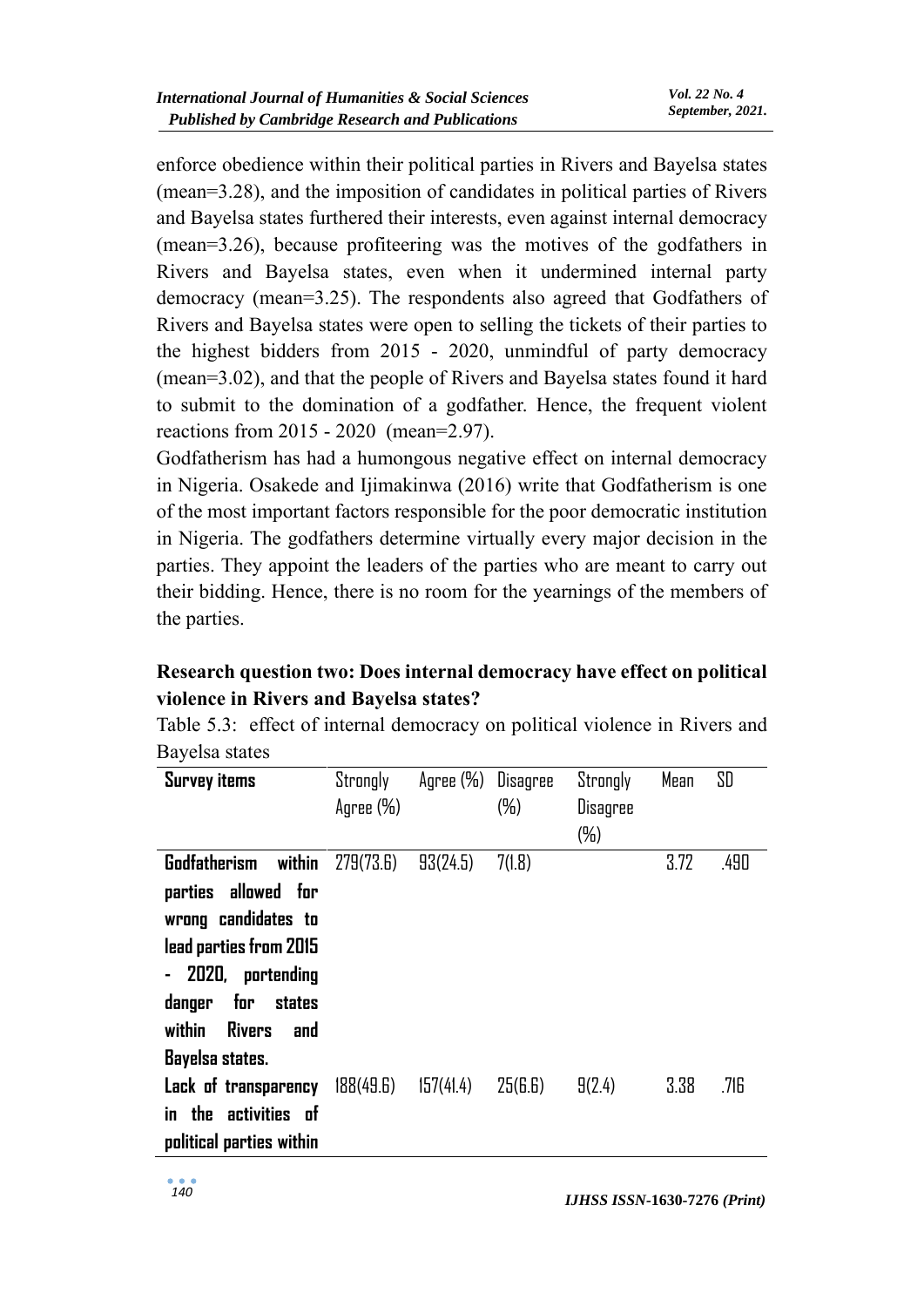enforce obedience within their political parties in Rivers and Bayelsa states (mean=3.28), and the imposition of candidates in political parties of Rivers and Bayelsa states furthered their interests, even against internal democracy (mean=3.26), because profiteering was the motives of the godfathers in Rivers and Bayelsa states, even when it undermined internal party democracy (mean=3.25). The respondents also agreed that Godfathers of Rivers and Bayelsa states were open to selling the tickets of their parties to the highest bidders from 2015 - 2020, unmindful of party democracy (mean=3.02), and that the people of Rivers and Bayelsa states found it hard to submit to the domination of a godfather. Hence, the frequent violent reactions from 2015 - 2020 (mean=2.97).

Godfatherism has had a humongous negative effect on internal democracy in Nigeria. Osakede and Ijimakinwa (2016) write that Godfatherism is one of the most important factors responsible for the poor democratic institution in Nigeria. The godfathers determine virtually every major decision in the parties. They appoint the leaders of the parties who are meant to carry out their bidding. Hence, there is no room for the yearnings of the members of the parties.

# **Research question two: Does internal democracy have effect on political violence in Rivers and Bayelsa states?**

| Bayelsa states                 |           |           |          |          |      |      |
|--------------------------------|-----------|-----------|----------|----------|------|------|
| <b>Survey items</b>            | Strongly  | Agree (%) | Disagree | Strongly | Mean | SD   |
|                                | Agree (%) |           | $(\%)$   | Disagree |      |      |
|                                |           |           |          | $(\%)$   |      |      |
| <b>Godfatherism</b><br>within  | 279(73.6) | 93(24.5)  | 7(1.8)   |          | 3.72 | .490 |
| parties allowed for            |           |           |          |          |      |      |
| wrong candidates to            |           |           |          |          |      |      |
| lead parties from 2015         |           |           |          |          |      |      |
| 2020, portending               |           |           |          |          |      |      |
| for<br>danger<br>states        |           |           |          |          |      |      |
| <b>Rivers</b><br>within<br>and |           |           |          |          |      |      |
| Bayelsa states.                |           |           |          |          |      |      |
| Lack of transparency           | 188(49.6) | 157(41.4) | 25(B.6)  | 9(2.4)   | 3.38 | .716 |
| in the<br>activities of        |           |           |          |          |      |      |
| political parties within       |           |           |          |          |      |      |

Table 5.3:effect of internal democracy on political violence in Rivers and Bayelsa states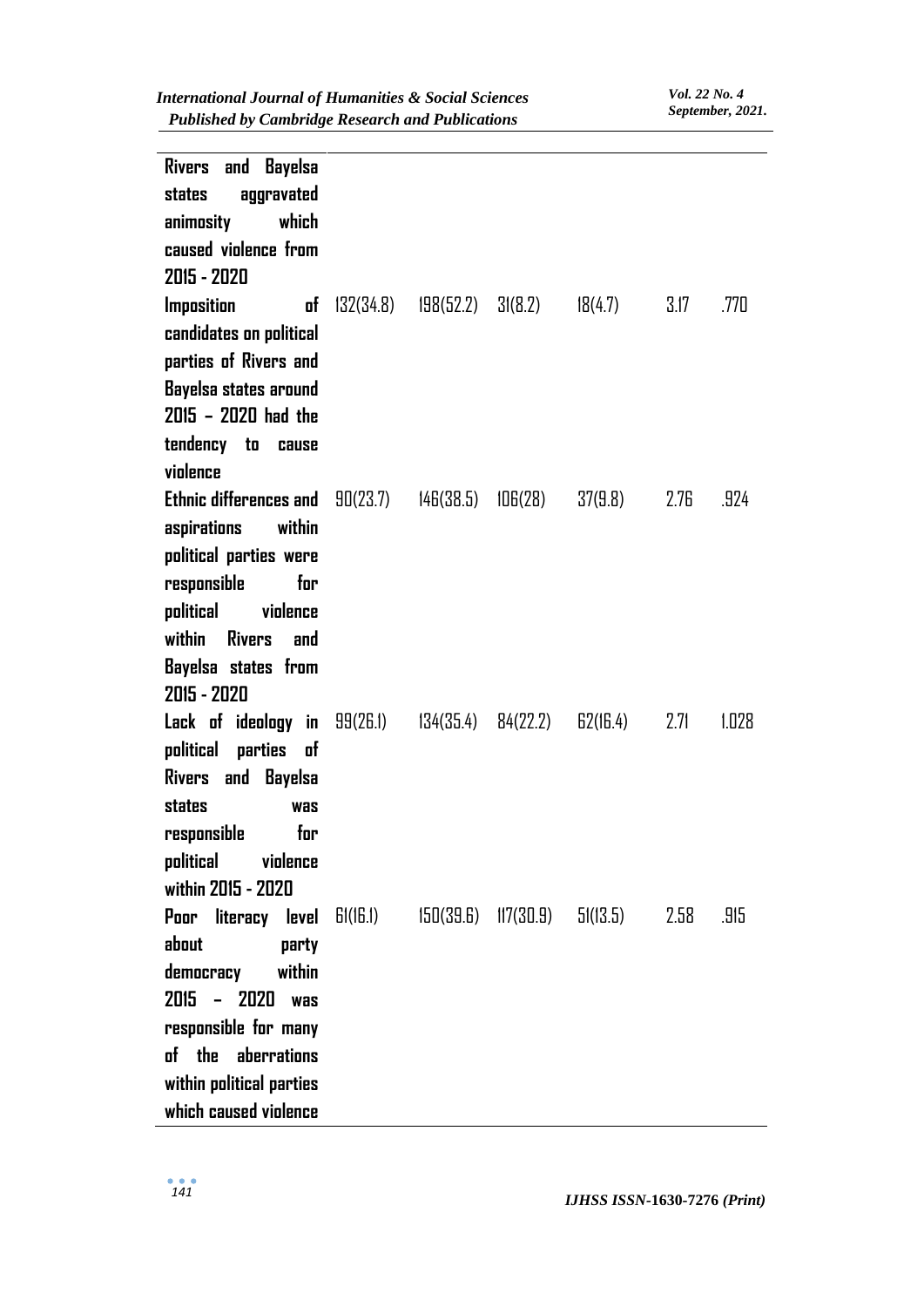| Rivers and Bayelsa                                  |                                   |                     |          |      |       |
|-----------------------------------------------------|-----------------------------------|---------------------|----------|------|-------|
| aggravated<br>states                                |                                   |                     |          |      |       |
| which<br>animosity                                  |                                   |                     |          |      |       |
| caused violence from                                |                                   |                     |          |      |       |
| 2015 - 2020                                         |                                   |                     |          |      |       |
| <b>Imposition</b><br>of                             | $132(34.8)$ $198(52.2)$ $31(8.2)$ |                     | 18(4.7)  | 3.17 | .770  |
| candidates on political                             |                                   |                     |          |      |       |
| parties of Rivers and                               |                                   |                     |          |      |       |
| Bayelsa states around                               |                                   |                     |          |      |       |
| 2015 - 2020 had the                                 |                                   |                     |          |      |       |
| tendency to<br>cause                                |                                   |                     |          |      |       |
| violence                                            |                                   |                     |          |      |       |
| <b>Ethnic differences and <math>90(23.7)</math></b> |                                   | 146(38.5) 106(28)   | 37(9.8)  | 2.76 | .924  |
| aspirations within                                  |                                   |                     |          |      |       |
| political parties were                              |                                   |                     |          |      |       |
| responsible<br>for                                  |                                   |                     |          |      |       |
| political<br>violence                               |                                   |                     |          |      |       |
| within<br>Rivers and                                |                                   |                     |          |      |       |
| Bayelsa states from                                 |                                   |                     |          |      |       |
| 2015 - 2020                                         |                                   |                     |          |      |       |
| <b>Lack of ideology in</b> 99(26.1)                 |                                   | 134(35.4) 84(22.2)  | 62(16.4) | 2.71 | 1.028 |
| political parties<br>of                             |                                   |                     |          |      |       |
| Rivers and Bayelsa                                  |                                   |                     |          |      |       |
| states<br>was                                       |                                   |                     |          |      |       |
| responsible<br>for                                  |                                   |                     |          |      |       |
| political<br>violence                               |                                   |                     |          |      |       |
| within 2015 - 2020                                  |                                   |                     |          |      |       |
| Poor literacy level $\text{Bi}(\text{16.1})$        |                                   | 150(39.6) 117(30.9) | 51(13.5) | 2.58 | .915  |
| about<br>party                                      |                                   |                     |          |      |       |
| within<br>democracy                                 |                                   |                     |          |      |       |
| $2015 - 2020$<br><b>Was</b>                         |                                   |                     |          |      |       |
| responsible for many                                |                                   |                     |          |      |       |
| of the aberrations                                  |                                   |                     |          |      |       |
| within political parties                            |                                   |                     |          |      |       |
| which caused violence                               |                                   |                     |          |      |       |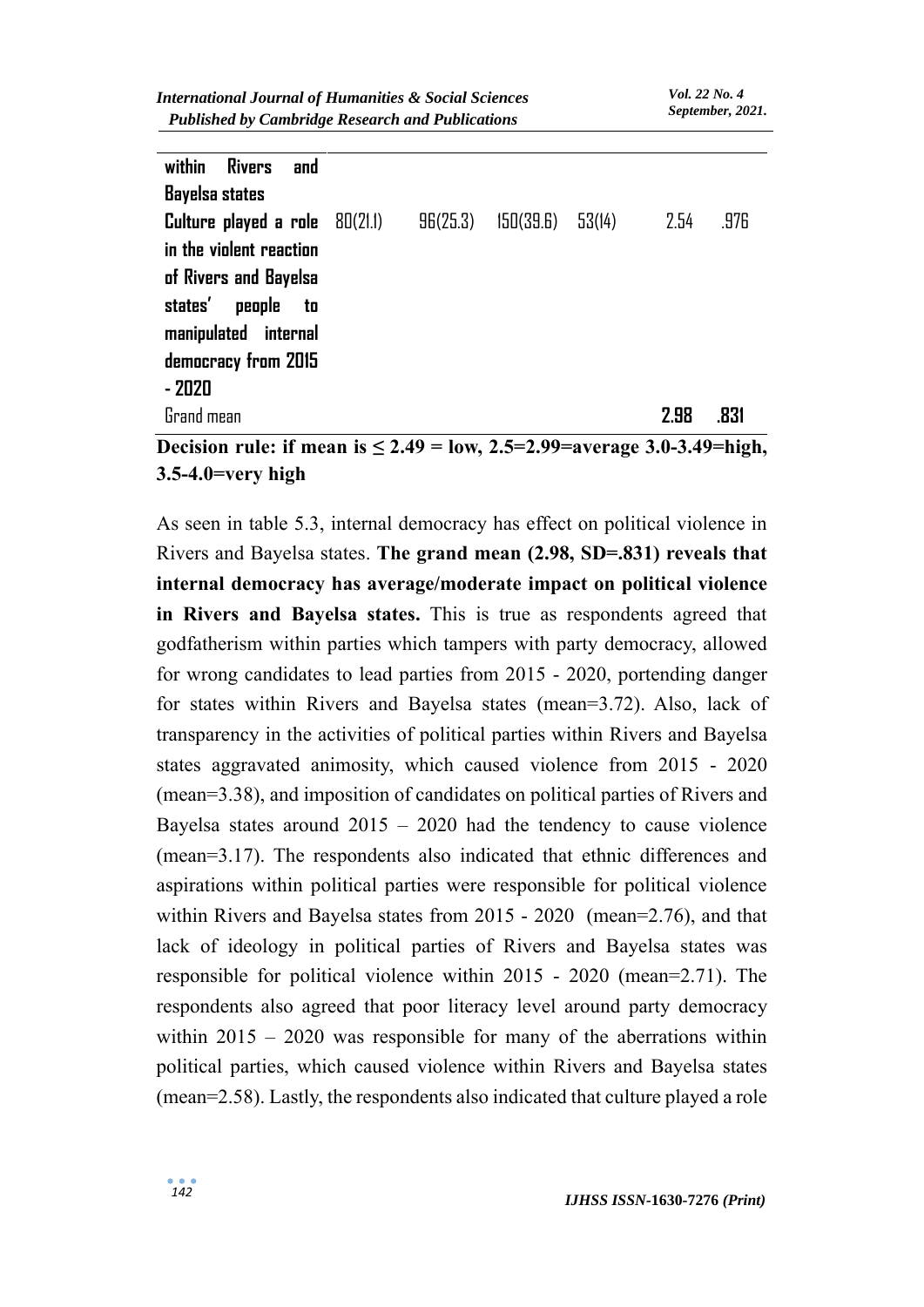| within Rivers<br>and                                                                 |  |                                 |      |      |
|--------------------------------------------------------------------------------------|--|---------------------------------|------|------|
| <b>Bayelsa states</b>                                                                |  |                                 |      |      |
| <b>Culture played a role</b> 80(21.1)                                                |  | $96(25.3)$ $150(39.6)$ $53(14)$ | 2.54 | .976 |
| in the violent reaction                                                              |  |                                 |      |      |
| of Rivers and Bayelsa                                                                |  |                                 |      |      |
| states' people to                                                                    |  |                                 |      |      |
| manipulated internal                                                                 |  |                                 |      |      |
| democracy from 2015                                                                  |  |                                 |      |      |
| $-2020$                                                                              |  |                                 |      |      |
| Grand mean                                                                           |  |                                 | 2.98 | .831 |
| Decision rule: if mean is $< 2.49$ = low $.2.5$ $\pm 2.99$ = average 3.0-3.49 = high |  |                                 |      |      |

**Decision rule: if mean is ≤ 2.49 = low, 2.5=2.99=average 3.0-3.49=high, 3.5-4.0=very high**

As seen in table 5.3, internal democracy has effect on political violence in Rivers and Bayelsa states. **The grand mean (2.98, SD=.831) reveals that internal democracy has average/moderate impact on political violence in Rivers and Bayelsa states.** This is true as respondents agreed that godfatherism within parties which tampers with party democracy, allowed for wrong candidates to lead parties from 2015 - 2020, portending danger for states within Rivers and Bayelsa states (mean=3.72). Also, lack of transparency in the activities of political parties within Rivers and Bayelsa states aggravated animosity, which caused violence from 2015 - 2020 (mean=3.38), and imposition of candidates on political parties of Rivers and Bayelsa states around  $2015 - 2020$  had the tendency to cause violence (mean=3.17). The respondents also indicated that ethnic differences and aspirations within political parties were responsible for political violence within Rivers and Bayelsa states from 2015 - 2020 (mean=2.76), and that lack of ideology in political parties of Rivers and Bayelsa states was responsible for political violence within 2015 - 2020 (mean=2.71). The respondents also agreed that poor literacy level around party democracy within  $2015 - 2020$  was responsible for many of the aberrations within political parties, which caused violence within Rivers and Bayelsa states (mean=2.58). Lastly, the respondents also indicated that culture played a role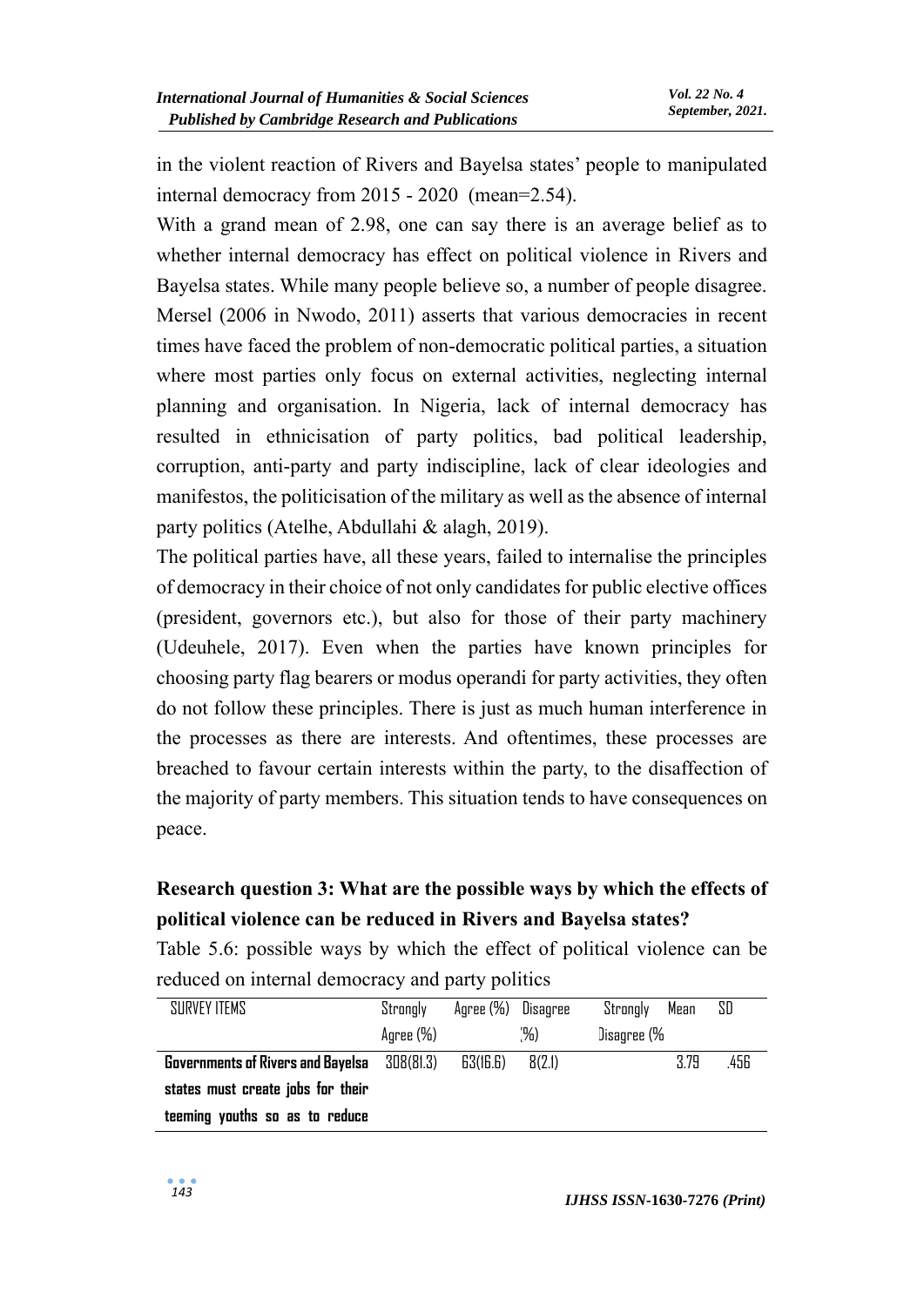in the violent reaction of Rivers and Bayelsa states' people to manipulated internal democracy from 2015 - 2020 (mean=2.54).

With a grand mean of 2.98, one can say there is an average belief as to whether internal democracy has effect on political violence in Rivers and Bayelsa states. While many people believe so, a number of people disagree. Mersel (2006 in Nwodo, 2011) asserts that various democracies in recent times have faced the problem of non-democratic political parties, a situation where most parties only focus on external activities, neglecting internal planning and organisation. In Nigeria, lack of internal democracy has resulted in ethnicisation of party politics, bad political leadership, corruption, anti-party and party indiscipline, lack of clear ideologies and manifestos, the politicisation of the military as well as the absence of internal party politics (Atelhe, Abdullahi & alagh, 2019).

The political parties have, all these years, failed to internalise the principles of democracy in their choice of not only candidates for public elective offices (president, governors etc.), but also for those of their party machinery (Udeuhele, 2017). Even when the parties have known principles for choosing party flag bearers or modus operandi for party activities, they often do not follow these principles. There is just as much human interference in the processes as there are interests. And oftentimes, these processes are breached to favour certain interests within the party, to the disaffection of the majority of party members. This situation tends to have consequences on peace.

# **Research question 3: What are the possible ways by which the effects of political violence can be reduced in Rivers and Bayelsa states?**

Table 5.6: possible ways by which the effect of political violence can be reduced on internal democracy and party politics

| SURVEY ITEMS                                       | Strongly  | Agree (%) Disagree |        | Strongly    | Mean | SD   |
|----------------------------------------------------|-----------|--------------------|--------|-------------|------|------|
|                                                    | Agree (%) |                    | (%)    | Disagree (% |      |      |
| <b>Governments of Rivers and Bayelsa</b> 308(81.3) |           | 63(16.6)           | 8(2.1) |             | 3.79 | .456 |
| states must create jobs for their                  |           |                    |        |             |      |      |
| teeming youths so as to reduce                     |           |                    |        |             |      |      |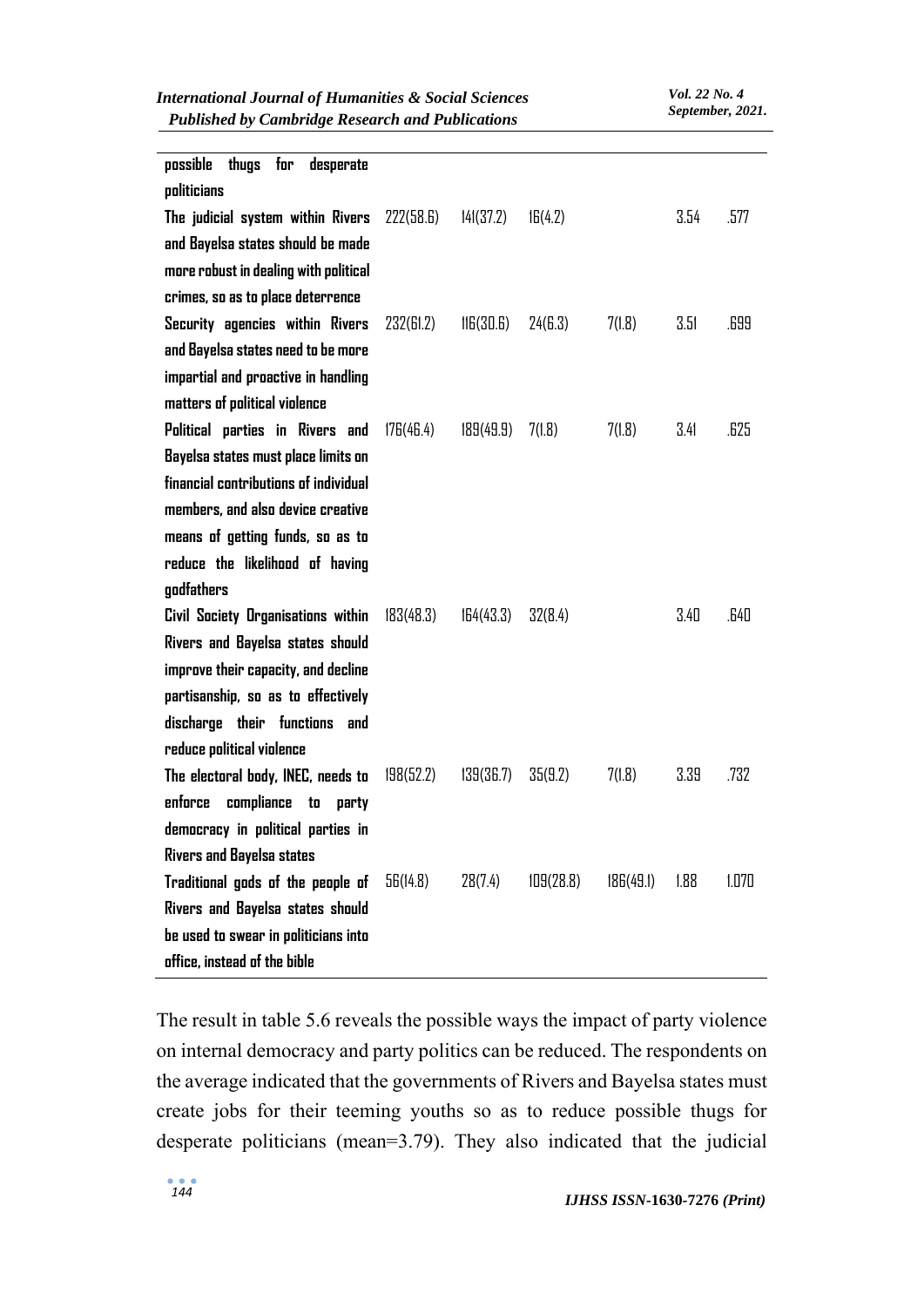| <b>Published by Cambridge Research and Publications</b> |           | September, 2021.       |           |           |      |       |
|---------------------------------------------------------|-----------|------------------------|-----------|-----------|------|-------|
| possible<br>for<br>thugs<br>desperate<br>politicians    |           |                        |           |           |      |       |
| The judicial system within Rivers                       | 222(58.6) | 141(37.2)              | 16(4.2)   |           | 3.54 | .577  |
| and Bayelsa states should be made                       |           |                        |           |           |      |       |
| more robust in dealing with political                   |           |                        |           |           |      |       |
| crimes, so as to place deterrence                       |           |                        |           |           |      |       |
| Security agencies within Rivers                         | 232(61.2) | $\overline{116(30.6)}$ | 24(G.3)   | 7(1.8)    | 3.51 | .699  |
| and Bayelsa states need to be more                      |           |                        |           |           |      |       |
| impartial and proactive in handling                     |           |                        |           |           |      |       |
| matters of political violence                           |           |                        |           |           |      |       |
| Political parties in Rivers and                         | 176(46.4) | 189(49.9)              | 7(1.8)    | 7(1.8)    | 3.41 | .625  |
| Bayelsa states must place limits on                     |           |                        |           |           |      |       |
| financial contributions of individual                   |           |                        |           |           |      |       |
| members, and also device creative                       |           |                        |           |           |      |       |
| means of getting funds, so as to                        |           |                        |           |           |      |       |
| reduce the likelihood of having                         |           |                        |           |           |      |       |
| godfathers                                              |           |                        |           |           |      |       |
| Civil Society Organisations within                      | 183(48.3) | 164(43.3)              | 32(8.4)   |           | 3.40 | .640  |
| Rivers and Bayelsa states should                        |           |                        |           |           |      |       |
| improve their capacity, and decline                     |           |                        |           |           |      |       |
| partisanship, so as to effectively                      |           |                        |           |           |      |       |
| discharge their functions and                           |           |                        |           |           |      |       |
| reduce political violence                               |           |                        |           |           |      |       |
| The electoral body, INEC, needs to 198(52.2)            |           | 139(36.7)              | 35(9.2)   | 7(1.8)    | 3.39 | .732  |
| enforce compliance to party                             |           |                        |           |           |      |       |
| democracy in political parties in                       |           |                        |           |           |      |       |
| <b>Rivers and Bayelsa states</b>                        |           |                        |           |           |      |       |
| Traditional gods of the people of                       | 56(14.8)  | 28(7.4)                | 109(28.8) | 186(49.1) | 1.88 | 1.070 |
| Rivers and Bayelsa states should                        |           |                        |           |           |      |       |
| be used to swear in politicians into                    |           |                        |           |           |      |       |
| office, instead of the bible                            |           |                        |           |           |      |       |

*International Journal of Humanities & Social Sciences*

The result in table 5.6 reveals the possible ways the impact of party violence on internal democracy and party politics can be reduced. The respondents on the average indicated that the governments of Rivers and Bayelsa states must create jobs for their teeming youths so as to reduce possible thugs for desperate politicians (mean=3.79). They also indicated that the judicial

*Vol. 22 No. 4*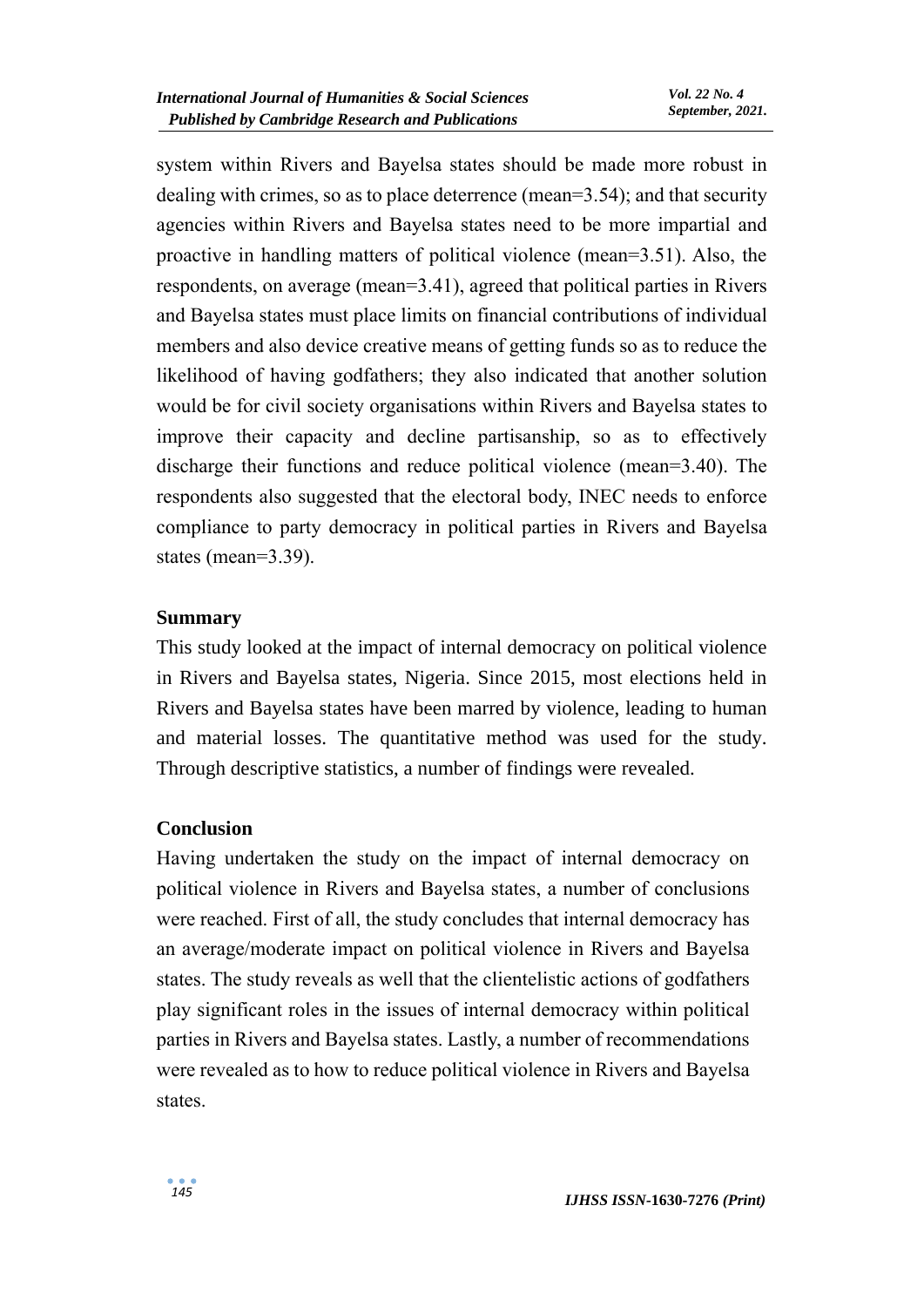system within Rivers and Bayelsa states should be made more robust in dealing with crimes, so as to place deterrence (mean=3.54); and that security agencies within Rivers and Bayelsa states need to be more impartial and proactive in handling matters of political violence (mean=3.51). Also, the respondents, on average (mean=3.41), agreed that political parties in Rivers and Bayelsa states must place limits on financial contributions of individual members and also device creative means of getting funds so as to reduce the likelihood of having godfathers; they also indicated that another solution would be for civil society organisations within Rivers and Bayelsa states to improve their capacity and decline partisanship, so as to effectively discharge their functions and reduce political violence (mean=3.40). The respondents also suggested that the electoral body, INEC needs to enforce compliance to party democracy in political parties in Rivers and Bayelsa states (mean=3.39).

#### **Summary**

This study looked at the impact of internal democracy on political violence in Rivers and Bayelsa states, Nigeria. Since 2015, most elections held in Rivers and Bayelsa states have been marred by violence, leading to human and material losses. The quantitative method was used for the study. Through descriptive statistics, a number of findings were revealed.

#### **Conclusion**

Having undertaken the study on the impact of internal democracy on political violence in Rivers and Bayelsa states, a number of conclusions were reached. First of all, the study concludes that internal democracy has an average/moderate impact on political violence in Rivers and Bayelsa states. The study reveals as well that the clientelistic actions of godfathers play significant roles in the issues of internal democracy within political parties in Rivers and Bayelsa states. Lastly, a number of recommendations were revealed as to how to reduce political violence in Rivers and Bayelsa states.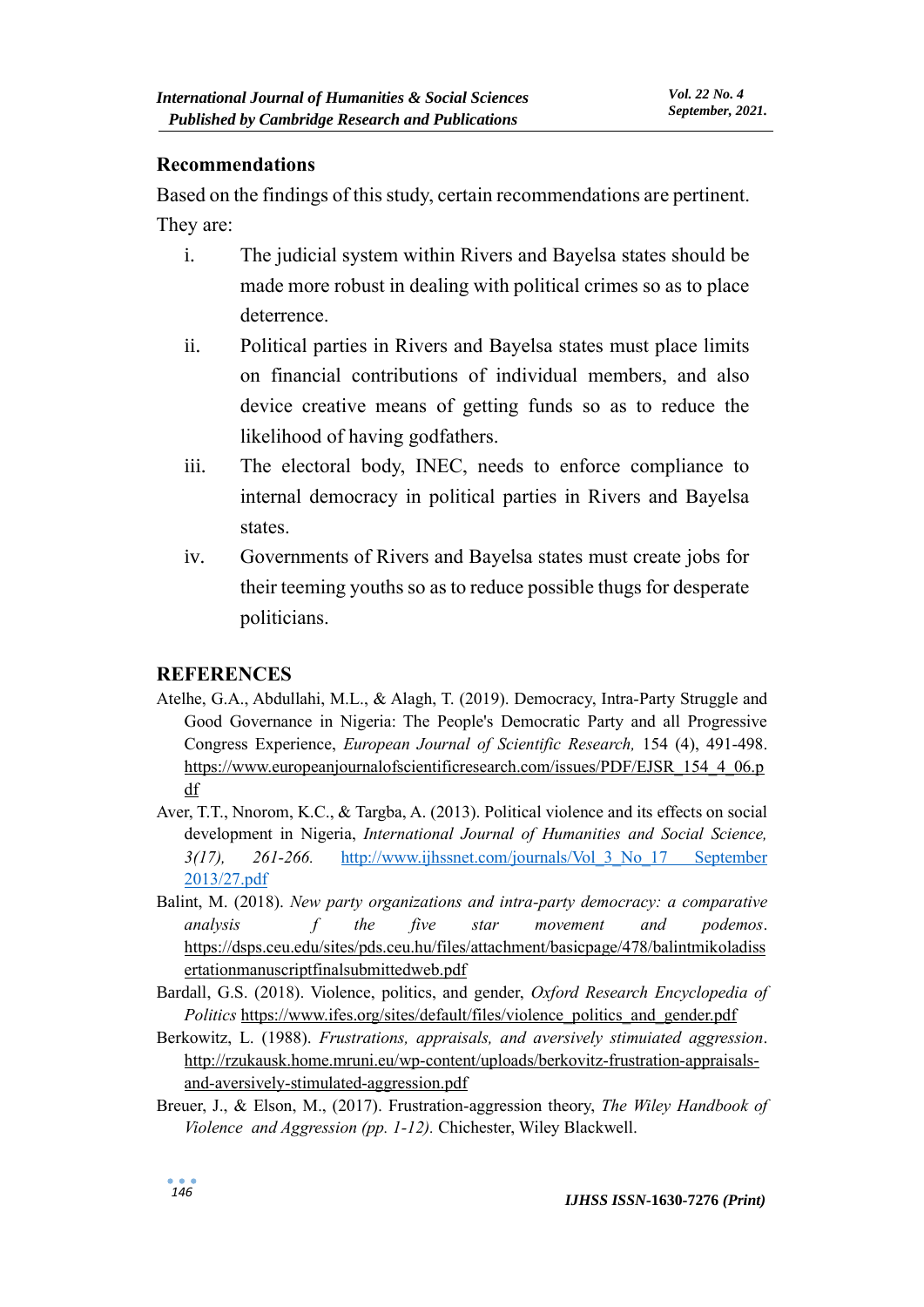#### **Recommendations**

Based on the findings of this study, certain recommendations are pertinent. They are:

- i. The judicial system within Rivers and Bayelsa states should be made more robust in dealing with political crimes so as to place deterrence.
- ii. Political parties in Rivers and Bayelsa states must place limits on financial contributions of individual members, and also device creative means of getting funds so as to reduce the likelihood of having godfathers.
- iii. The electoral body, INEC, needs to enforce compliance to internal democracy in political parties in Rivers and Bayelsa states.
- iv. Governments of Rivers and Bayelsa states must create jobs for their teeming youths so as to reduce possible thugs for desperate politicians.

#### **REFERENCES**

- Atelhe, G.A., Abdullahi, M.L., & Alagh, T. (2019). Democracy, Intra-Party Struggle and Good Governance in Nigeria: The People's Democratic Party and all Progressive Congress Experience, *European Journal of Scientific Research,* 154 (4), 491-498. [https://www.europeanjournalofscientificresearch.com/issues/PDF/EJSR\\_154\\_4\\_06.p](https://www.europeanjournalofscientificresearch.com/issues/PDF/EJSR_154_4_06.pdf) [df](https://www.europeanjournalofscientificresearch.com/issues/PDF/EJSR_154_4_06.pdf)
- Aver, T.T., Nnorom, K.C., & Targba, A. (2013). Political violence and its effects on social development in Nigeria, *International Journal of Humanities and Social Science, 3(17), 261-266.* [http://www.ijhssnet.com/journals/Vol\\_3\\_No\\_17 September](http://www.ijhssnet.com/journals/Vol_3_No_17%20September%202013/27.pdf)  [2013/27.pdf](http://www.ijhssnet.com/journals/Vol_3_No_17%20September%202013/27.pdf)
- Balint, M. (2018). *New party organizations and intra-party democracy: a comparative analysis f the five star movement and podemos*. [https://dsps.ceu.edu/sites/pds.ceu.hu/files/attachment/basicpage/478/balintmikoladiss](https://dsps.ceu.edu/sites/pds.ceu.hu/files/attachment/basicpage/478/balintmikoladissertationmanuscriptfinalsubmittedweb.pdf) [ertationmanuscriptfinalsubmittedweb.pdf](https://dsps.ceu.edu/sites/pds.ceu.hu/files/attachment/basicpage/478/balintmikoladissertationmanuscriptfinalsubmittedweb.pdf)
- Bardall, G.S. (2018). Violence, politics, and gender, *Oxford Research Encyclopedia of Politics* [https://www.ifes.org/sites/default/files/violence\\_politics\\_and\\_gender.pdf](https://www.ifes.org/sites/default/files/violence_politics_and_gender.pdf)
- Berkowitz, L. (1988). *Frustrations, appraisals, and aversively stimuiated aggression*. [http://rzukausk.home.mruni.eu/wp-content/uploads/berkovitz-frustration-appraisals](http://rzukausk.home.mruni.eu/wp-content/uploads/berkovitz-frustration-appraisals-and-aversively-stimulated-aggression.pdf)[and-aversively-stimulated-aggression.pdf](http://rzukausk.home.mruni.eu/wp-content/uploads/berkovitz-frustration-appraisals-and-aversively-stimulated-aggression.pdf)
- Breuer, J., & Elson, M., (2017). Frustration-aggression theory, *The Wiley Handbook of Violence and Aggression (pp. 1-12).* Chichester, Wiley Blackwell.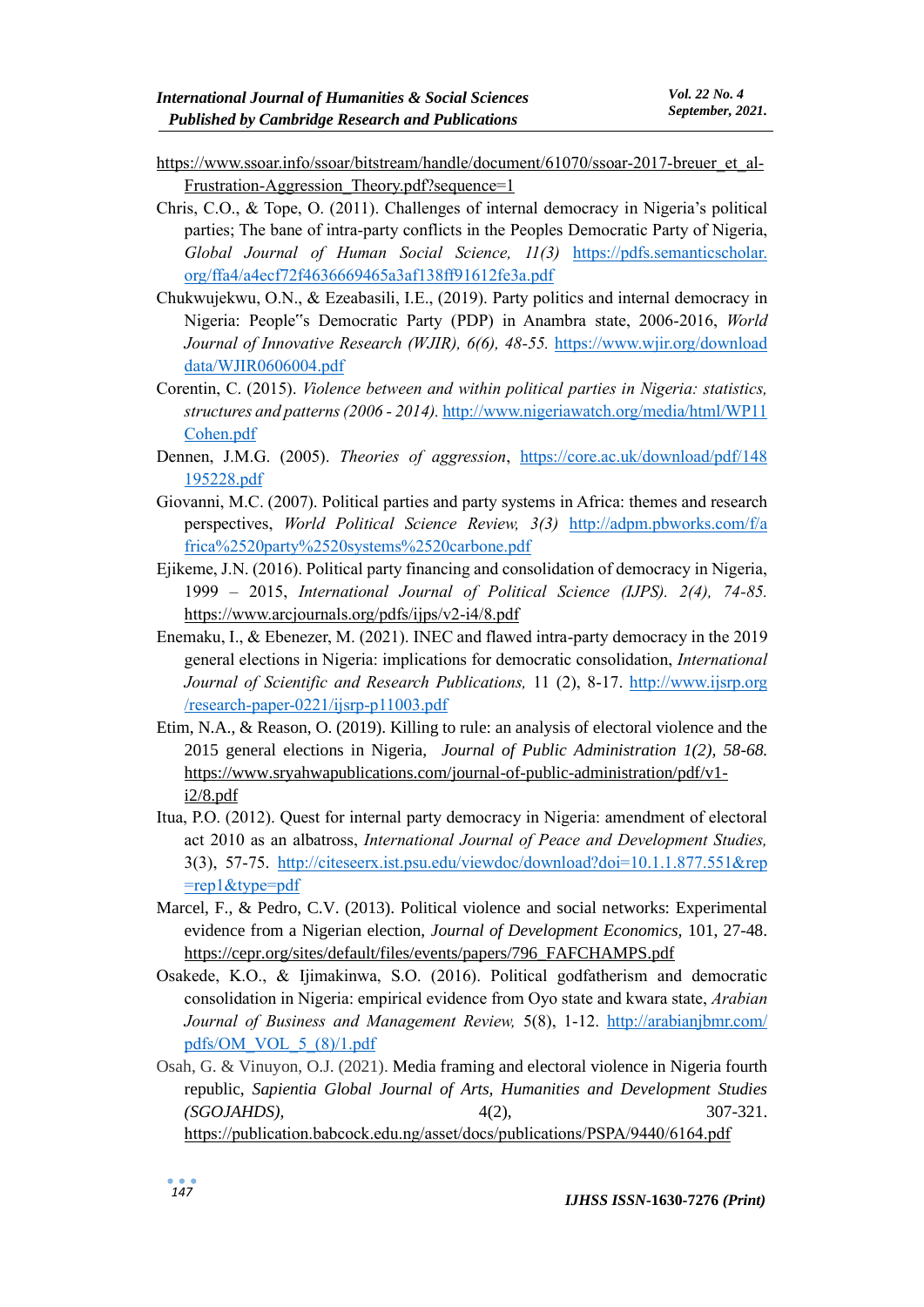- [https://www.ssoar.info/ssoar/bitstream/handle/document/61070/ssoar-2017-breuer\\_et\\_al-](https://www.ssoar.info/ssoar/bitstream/handle/document/61070/ssoar-2017-breuer_et_al-Frustration-Aggression_Theory.pdf?sequence=1)Frustration-Aggression Theory.pdf?sequence=1
- Chris, C.O., & Tope, O. (2011). Challenges of internal democracy in Nigeria's political parties; The bane of intra-party conflicts in the Peoples Democratic Party of Nigeria, *Global Journal of Human Social Science, 11(3)* https://pdfs.semanticscholar. org/ffa4/a4ecf72f4636669465a3af138ff91612fe3a.pdf
- Chukwujekwu, O.N., & Ezeabasili, I.E., (2019). Party politics and internal democracy in Nigeria: People"s Democratic Party (PDP) in Anambra state, 2006-2016, *World*  Journal of Innovative Research (WJIR), 6(6), 48-55. https://www.wjir.org/download [data/WJIR0606004.pdf](https://www.wjir.org/download%20data/WJIR0606004.pdf)
- Corentin, C. (2015). *Violence between and within political parties in Nigeria: statistics, structures and patterns (2006 - 2014).* [http://www.nigeriawatch.org/media/html/WP11](http://www.nigeriawatch.org/media/html/WP11%20Cohen.pdf)  [Cohen.pdf](http://www.nigeriawatch.org/media/html/WP11%20Cohen.pdf)
- Dennen, J.M.G. (2005). *Theories of aggression*, [https://core.ac.uk/download/pdf/148](https://core.ac.uk/download/pdf/148%20195228.pdf)  [195228.pdf](https://core.ac.uk/download/pdf/148%20195228.pdf)
- Giovanni, M.C. (2007). Political parties and party systems in Africa: themes and research perspectives, *World Political Science Review, 3(3)* [http://adpm.pbworks.com/f/a](http://adpm.pbworks.com/f/a%20frica%2520party%2520systems%2520carbone.pdf)  [frica%2520party%2520systems%2520carbone.pdf](http://adpm.pbworks.com/f/a%20frica%2520party%2520systems%2520carbone.pdf)
- Ejikeme, J.N. (2016). Political party financing and consolidation of democracy in Nigeria, 1999 – 2015, *International Journal of Political Science (IJPS). 2(4), 74-85.* <https://www.arcjournals.org/pdfs/ijps/v2-i4/8.pdf>
- Enemaku, I., & Ebenezer, M. (2021). INEC and flawed intra-party democracy in the 2019 general elections in Nigeria: implications for democratic consolidation, *International Journal of Scientific and Research Publications,* 11 (2), 8-17. http://www.ijsrp.org /research-paper-0221/ijsrp-p11003.pdf
- Etim, N.A., & Reason, O. (2019). Killing to rule: an analysis of electoral violence and the 2015 general elections in Nigeria, *Journal of Public Administration 1(2), 58-68.* [https://www.sryahwapublications.com/journal-of-public-administration/pdf/v1](https://www.sryahwapublications.com/journal-of-public-administration/pdf/v1-i2/8.pdf) [i2/8.pdf](https://www.sryahwapublications.com/journal-of-public-administration/pdf/v1-i2/8.pdf)
- Itua, P.O. (2012). Quest for internal party democracy in Nigeria: amendment of electoral act 2010 as an albatross, *International Journal of Peace and Development Studies,*  3(3), 57-75. [http://citeseerx.ist.psu.edu/viewdoc/download?doi=10.1.1.877.551&rep](http://citeseerx.ist.psu.edu/viewdoc/download?doi=10.1.1.877.551&rep%20=rep1&type=pdf)  [=rep1&type=pdf](http://citeseerx.ist.psu.edu/viewdoc/download?doi=10.1.1.877.551&rep%20=rep1&type=pdf)
- Marcel, F., & Pedro, C.V. (2013). Political violence and social networks: Experimental evidence from a Nigerian election, *Journal of Development Economics,* 101, 27-48. [https://cepr.org/sites/default/files/events/papers/796\\_FAFCHAMPS.pdf](https://cepr.org/sites/default/files/events/papers/796_FAFCHAMPS.pdf)
- Osakede, K.O., & Ijimakinwa, S.O. (2016). Political godfatherism and democratic consolidation in Nigeria: empirical evidence from Oyo state and kwara state, *Arabian Journal of Business and Management Review,* 5(8), 1-12. [http://arabianjbmr.com/](http://arabianjbmr.com/%20pdfs/OM_VOL_5_(8)/1.pdf)  [pdfs/OM\\_VOL\\_5\\_\(8\)/1.pdf](http://arabianjbmr.com/%20pdfs/OM_VOL_5_(8)/1.pdf)
- Osah, G. & Vinuyon, O.J. (2021). Media framing and electoral violence in Nigeria fourth republic, *Sapientia Global Journal of Arts, Humanities and Development Studies (SGOJAHDS),* 4(2), 307-321. <https://publication.babcock.edu.ng/asset/docs/publications/PSPA/9440/6164.pdf>